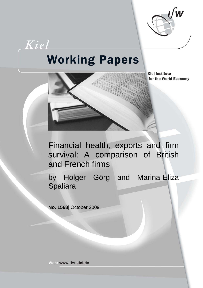

# Kiel **Working Papers**



**Kiel Institute** for the World Economy

Financial health, exports and firm survival: A comparison of British and French firms

by Holger Görg and Marina-Eliza Spaliara

**No. 1568**| October 2009

Web: www.ifw-kiel.de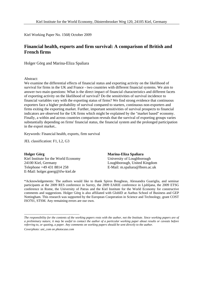Kiel Working Paper No. 1568| October 2009

#### **Financial health, exports and firm survival: A comparison of British and French firms**

Holger Görg and Marina-Eliza Spaliara

#### Abstract:

We examine the differential effects of financial status and exporting activity on the likelihood of survival for firms in the UK and France - two countries with different financial systems. We aim to answer two main questions: What is the direct impact of financial characteristics and different facets of exporting activity on the likelihood of survival? Do the sensitivities of survival incidence to financial variables vary with the exporting status of firms? We find strong evidence that continuous exporters face a higher probability of survival compared to starters, continuous non-exporters and firms exiting the exporting market. Further, important sensitivities of survival prospects to financial indicators are observed for the UK firms which might be explained by the "market based" economy. Finally, a within and across countries comparison reveals that the survival of exporting groups varies substantially depending on firms' financial status, the financial system and the prolonged participation in the export market..

Keywords: Financial health, exports, firm survival

JEL classification: F1, L2, G3

**Holger Görg**  Kiel Institute for the World Economy 24100 Kiel, Germany Telephone +49 431 8814 258 E-Mail: holger.goerg@ifw-kiel.de

#### **Marina-Eliza Spaliara**

University of Loughborough Loughborough, United Kingdom E-Mail: m.spaliara@lboro.ac.uk

\*Acknowledgements: The authors would like to thank Spiros Bougheas, Alessandra Guariglia, and seminar participants at the 2009 RES conference in Surrey, the 2009 EARIE conference in Ljubljana, the 2009 ETSG conference in Rome, the University of Patras and the Kiel Institute for the World Economy for constructive comments and suggestions. Holger Görg is also affiliated with GlobID at Aarhus School of Business and GEP Nottingham. This research was supported by the European Cooperation in Science and Technology, grant COST ISO701, STSM. Any remaining errors are our own.

*Coverphoto: uni\_com on photocase.com* 

\_\_\_\_\_\_\_\_\_\_\_\_\_\_\_\_\_\_\_\_\_\_\_\_\_\_\_\_\_\_\_\_\_\_\_\_

*The responsibility for the contents of the working papers rests with the author, not the Institute. Since working papers are of a preliminary nature, it may be useful to contact the author of a particular working paper about results or caveats before referring to, or quoting, a paper. Any comments on working papers should be sent directly to the author.*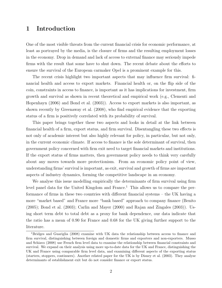# 1 Introduction

One of the most visible threats from the current financial crisis for economic performance, at least as portrayed by the media, is the closure of firms and the resulting employment losses in the economy. Drop in demand and lack of access to external finance may seriously impede firms with the result that some have to shut down. The recent debate about the efforts to ensure the survival of the European carmaker Opel is a prominent example for this.

The recent crisis highlight two important aspects that may influence firm survival: financial health and access to export markets. Financial health or, on the flip side of the coin, constraints in access to finance, is important as it has implications for investment, firm growth and survival as shown in recent theoretical and empirical work (e.g., Clementi and Hopenhayn (2006) and Bond et al. (2003)). Access to export markets is also important, as shown recently by Greenaway et al. (2008), who find empirical evidence that the exporting status of a firm is positively correlated with its probability of survival.

This paper brings together these two aspects and looks in detail at the link between financial health of a firm, export status, and firm survival. Disentangling these two effects is not only of academic interest but also highly relevant for policy, in particular, but not only, in the current economic climate. If access to finance is the sole determinant of survival, then government policy concerned with firm exit need to target financial markets and institutions. If the export status of firms matters, then government policy needs to think very carefully about any moves towards more protectionism. From an economic policy point of view, understanding firms' survival is important, as exit, survival and growth of firms are important aspects of industry dynamics, forming the competitive landscape in an economy.

We analyse this issue modelling empirically the determinants of firm survival using firm level panel data for the United Kingdom and France.<sup>1</sup> This allows us to compare the performance of firms in these two countries with different financial systems – the UK having a more "market based" and France more "bank based" approach to company finance (Benito (2005); Bond et al. (2003); Carlin and Mayer (2000) and Rajan and Zingales (2003)). Using short term debt to total debt as a proxy for bank dependence, our data indicate that the ratio has a mean of 0.90 for France and 0.68 for the UK giving further support to the literature.

<sup>1</sup>Bridges and Guariglia (2008) examine with UK data the relationship between access to finance and firm survival, distinguishing between foreign and domestic firms and exporters and non-exporters. Musso and Schiavo (2008) use French firm level data to examine the relationship between financial constraints and survival. We expand on their analysis using more up-to-date data for the UK and France, distinguishing the UK and France using comparable firm level data, and examining different aspects of the exporting status (starters, stoppers, continuers). Another related paper for the UK is by Disney et al. (2003). They analyse determinants of establishment exit but do not consider finance or export status.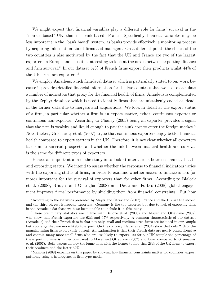We might expect that financial variables play a different role for firms' survival in the "market based" UK, than in "bank based" France. Specifically, financial variables may be less important in the "bank based" system, as banks provide effectively a monitoring process by acquiring information about firms and managers. On a different point, the choice of the two countries is also motivated by the fact that the UK and France are two of the largest exporters in Europe and thus it is interesting to look at the nexus between exporting, finance and firm survival.<sup>2</sup> In our dataset 67% of French firms export their products whilst 44% of the UK firms are exporters.<sup>3</sup>

We employ Amadeus, a rich firm-level dataset which is particularly suited to our work because it provides detailed financial information for the two countries that we use to calculate a number of indicators that proxy for the financial health of firms. Amadeus is complemented by the Zephyr database which is used to identify firms that are mistakenly coded as 'dead' in the former data due to mergers and acquisitions. We look in detail at the export status of a firm, in particular whether a firm is an export starter, exiter, continuous exporter or continuous non-exporter. According to Chaney (2005) being an exporter provides a signal that the firm is wealthy and liquid enough to pay the sunk cost to enter the foreign market.<sup>4</sup> Nevertheless, Greenaway et al. (2007) argue that continuous exporters enjoy better financial health compared to export starters in the UK. Therefore, it is not clear whether all exporters face similar survival prospects, and whether the link between financial health and survival is the same for different types of exporters.

Hence, an important aim of the study is to look at interactions between financial health and exporting status. We intend to assess whether the response to financial indicators varies with the exporting status of firms, in order to examine whether access to finance is less (or more) important for the survival of exporters than for other firms. According to Blalock et al. (2008), Bridges and Guariglia (2008) and Desai and Forbes (2008) global engagement improves firms' performance by shielding them from financial constraints. But how

<sup>4</sup>Manova (2008) expands on this paper by showing how financial constraints matter for countries' export patterns, using a heterogeneous firm type model.

<sup>2</sup>According to the statistics presented by Mayer and Ottaviano (2007), France and the UK are the second and the third biggest European exporters. Germany is the top exporter but due to lack of exporting data in the Amadeus database we have been unable to include it in this study.

<sup>3</sup>These preliminary statistics are in line with Bellone et al. (2008) and Mayer and Ottaviano (2007) who show that French exporters are 62% and 65% respectively. A common characteristic of our dataset (Amadeus) and their French data is that not only small and medium sized firms are included in our sample but also large that are more likely to export. On the contrary, Eaton et al. (2004) show that only 21% of the manufacturing firms export their output. An explanation is that their French data are nearly comprehensive and contain many more small firms who are less likely to export. As for our UK sample the percentage of the exporting firms is higher compared to Mayer and Ottaviano (2007) and lower compared to Greenaway et al. (2007). Both papers employ the Fame data with the former to find that 28% of the UK firms to export their products and the latter 62%.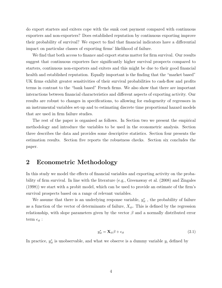do export starters and exiters cope with the sunk cost payment compared with continuous exporters and non-exporters? Does established reputation by continuous exporting improve their probability of survival? We expect to find that financial indicators have a differential impact on particular classes of exporting firms' likelihood of failure.

We find that both access to finance and export status matter for firm survival. Our results suggest that continuous exporters face significantly higher survival prospects compared to starters, continuous non-exporters and exiters and this might be due to their good financial health and established reputation. Equally important is the finding that the "market based" UK firms exhibit greater sensitivities of their survival probabilities to cash-flow and profits terms in contrast to the "bank based" French firms. We also show that there are important interactions between financial characteristics and different aspects of exporting activity. Our results are robust to changes in specifications, to allowing for endogeneity of regressors in an instrumental variables set-up and to estimating discrete time proportional hazard models that are used in firm failure studies.

The rest of the paper is organised as follows. In Section two we present the empirical methodology and introduce the variables to be used in the econometric analysis. Section three describes the data and provides some descriptive statistics. Section four presents the estimation results. Section five reports the robustness checks. Section six concludes the paper.

#### 2 Econometric Methodology

In this study we model the effects of financial variables and exporting activity on the probability of firm survival. In line with the literature (e.g., Greenaway et al. (2008) and Zingales (1998)) we start with a probit model, which can be used to provide an estimate of the firm's survival prospects based on a range of relevant variables.

We assume that there is an underlying response variable,  $y_{it}^*$ , the probability of failure as a function of the vector of determinants of failure,  $X_{it}$ . This is defined by the regression relationship, with slope parameters given by the vector  $\beta$  and a normally distributed error term  $\epsilon_{it}$  :

$$
y_{it}^* = \mathbf{X}_{it} \boldsymbol{\beta} + \epsilon_{it} \tag{2.1}
$$

In practice,  $y_{it}^*$  is unobservable, and what we observe is a dummy variable  $y_i$  defined by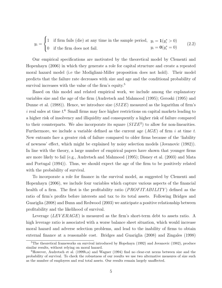$$
y_i = \begin{cases} 1 & \text{if firm fails (die) at any time in the sample period, } y_i = \mathbf{1}(y_i^* > 0) \\ 0 & \text{if the firm does not fail.} \end{cases}
$$
 (2.2)

Our empirical specifications are motivated by the theoretical model by Clementi and Hopenhayn (2006) in which they generate a role for capital structure and create a repeated moral hazard model (i.e the Modigliani-Miller proposition does not hold). Their model predicts that the failure rate decreases with size and age and the conditional probability of survival increases with the value of the firm's equity.<sup>5</sup>

Based on this model and related empirical work, we include among the explanatory variables size and the age of the firm (Audretsch and Mahmood (1995); Geroski (1995) and Dunne et al. (1988)). Hence, we introduce size  $(SIZE)$  measured as the logarithm of firm's i real sales at time  $t<sup>6</sup>$  Small firms may face higher restrictions on capital markets leading to a higher risk of insolvency and illiquidity and consequently a higher risk of failure compared to their counterparts. We also incorporate its square  $(SIZE^2)$  to allow for non-linearities. Furthermore, we include a variable defined as the current age  $(AGE)$  of firm i at time t. New entrants face a greater risk of failure compared to older firms because of the 'liability of newness' effect, which might be explained by noisy selection models (Jovanovic (1982)). In line with the theory, a large number of empirical papers have shown that younger firms are more likely to fail (e.g., Audretsch and Mahmood (1995); Disney et al. (2003) and Mata and Portugal (1994)). Thus, we should expect the age of the firm to be positively related with the probability of survival.

To incorporate a role for finance in the survival model, as suggested by Clementi and Hopenhayn (2006), we include four variables which capture various aspects of the financial health of a firm. The first is the profitability ratio (*PROFITABILITY*) defined as the ratio of firm's profits before interests and tax to its total assets. Following Bridges and Guariglia (2008) and Bunn and Redwood (2003) we anticipate a positive relationship between profitability and the likelihood of survival.

Leverage  $(LEVERAGE)$  is measured as the firm's short-term debt to assets ratio. A high leverage ratio is associated with a worse balance sheet situation, which would increase moral hazard and adverse selection problems, and lead to the inability of firms to obtain external finance at a reasonable cost. Bridges and Guariglia (2008) and Zingales (1998)

<sup>&</sup>lt;sup>5</sup>The theoretical frameworks on survival introduced by Hopehayn (1992) and Jovanovic (1982), produce similar results, without relying on moral hazard.

<sup>6</sup>However, Audretsch et al. (1999b,a) and Wagner (1994) find no clear-cut nexus between size and the probability of survival. To check the robustness of our results we use two alternative measures of size such as the number of employees and real total assets. Our results remain largely unaffected.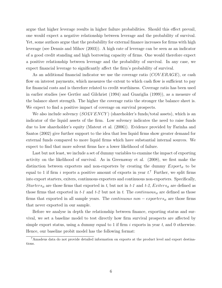argue that higher leverage results in higher failure probabilities. Should this effect prevail, one would expect a negative relationship between leverage and the probability of survival. Yet, some authors argue that the probability for external finance increases for firms with high leverage (see Dennis and Mihov (2003)). A high rate of leverage can be seen as an indicator of a good credit standing and high borrowing capacity of firms. One would therefore expect a positive relationship between leverage and the probability of survival. In any case, we expect financial leverage to significantly affect the firm's probability of survival.

As an additional financial indicator we use the coverage ratio  $(COVERAGE)$ , or cash flow on interest payments, which measures the extent to which cash flow is sufficient to pay for financial costs and is therefore related to credit worthiness. Coverage ratio has been used in earlier studies (see Gertler and Gilchrist (1994) and Guariglia (1999)), as a measure of the balance sheet strength. The higher the coverage ratio the stronger the balance sheet is. We expect to find a positive impact of coverage on survival prospects.

We also include solvency (*SOLVENCY*) (shareholder's funds/total assets), which is an indicator of the liquid assets of the firm. Low solvency indicates the need to raise funds due to low shareholder's equity (Mateut et al. (2006)). Evidence provided by Farinha and Santos (2002) give further support to the idea that less liquid firms show greater demand for external funds compared to more liquid firms which have substantial internal sources. We expect to find that more solvent firms face a lower likelihood of failure.

Last but not least, we include a set of dummy variables to examine the impact of exporting activity on the likelihood of survival. As in Greenaway et al. (2008), we first make the distinction between exporters and non-exporters by creating the dummy  $Export_{it}$  to be equal to 1 if firm i reports a positive amount of exports in year  $t$ .<sup>7</sup> Further, we split firms into export starters, exiters, continuous exporters and continuous non-exporters. Specifically, Starters<sub>it</sub> are those firms that exported in t, but not in t-1 and t-2, Exiters<sub>it</sub> are defined as those firms that exported in  $t-1$  and  $t-2$  but not in t. The continuous<sub>it</sub> are defined as those firms that exported in all sample years. The *continuous non – exporters*<sub>it</sub> are those firms that never exported in our sample.

Before we analyse in depth the relationship between finance, exporting status and survival, we set a baseline model to test directly how firm survival prospects are affected by simple export status, using a dummy equal to 1 if firm  $i$  exports in year  $t$ , and 0 otherwise. Hence, our baseline probit model has the following format:

<sup>7</sup>Amadeus data do not provide detailed information on exports at the product level and export destinations.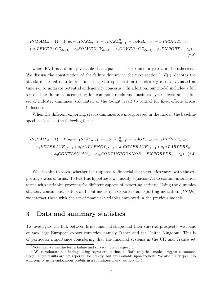$$
Pr(FAIL_{it} = 1) = F(a_0 + a_1 SIZE_{i(t-1)} + a_2 SIZE_{i(t-1)}^2 + a_3 AGE_{i(t-1)} + a_4 PROFIT_{i(t-1)} + a_5 LEVERAGE_{i(t-1)} + a_6 SOLVENCY_{i(t-1)} + a_7 COVERAGE_{i(t-1)} + a_8 EXPORT_{it} + \epsilon_{it})
$$
\n(2.3)

where FAIL is a dummy variable that equals 1 if firm  $i$  fails in year  $t$ , and 0 otherwise. We discuss the construction of the failure dummy in the next section.<sup>8</sup>  $F(.)$  denotes the standard normal distribution function. Our specification includes regressors evaluated at time  $t-1$  to mitigate potential endogeneity concerns.<sup>9</sup> In addition, our model includes a full set of time dummies accounting for common trends and business cycle effects and a full set of industry dummies (calculated at the 4-digit level) to control for fixed effects across industries.

When the different exporting status dummies are incorporated in the model, the baseline specification has the following form:

$$
Pr(FAIL_{it} = 1) = F(a_0 + a_1 SIZE_{i(t-1)} + a_2 SIZE_{i(t-1)}^2 + a_3 AGE_{i(t-1)} + a_4 PROFIT_{i(t-1)} + a_5 LEVERAGE_{i(t-1)} + a_6 SOLVENCY_{i(t-1)} + a_7 COVERAGE_{i(t-1)} + a_8 STARTERS_{it} + a_9 CONTINUOUS_{it} + a_{10} CONTINUOUS NON - EXPORTER_{it} + \epsilon_{it})
$$
(2.4)

We also aim to assess whether the response to financial characteristics varies with the exporting status of firms. To test this hypothesis we modify equation 2.4 to contain interaction terms with variables proxying for different aspects of exporting activity. Using the dummies starters, continuous, exiters and continuous non-exporters as exporting indicators  $(IND<sub>it</sub>)$ we interact these with the set of financial variables employed in the previous models.

#### 3 Data and summary statistics

To investigate the link between firms'financial shape and their survival prospects, we focus on two large European export countries, namely France and the United Kingdom. This is of particular importance considering that the financial systems in the UK and France set

<sup>8</sup>Note that we use the terms failure and survival interchangeably.

<sup>&</sup>lt;sup>9</sup> We corroborate our findings using regressors at time  $t$ . Both empirical models suggest a common story. These results are not reported for brevity, but are available upon request. We also dig deeper into endogeneity using endogenous probits in a robustness check, see section 5.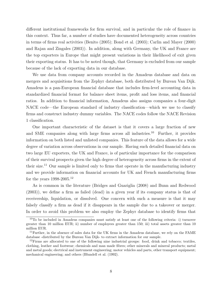different institutional frameworks for firm survival, and in particular the role of finance in this context. Thus far, a number of studies have documented heterogeneity across countries in terms of firms real activities (Benito (2005); Bond et al. (2003); Carlin and Mayer (2000) and Rajan and Zingales (2003)). In addition, along with Germany, the UK and France are the top exporters in Europe that might present variations in their likelihood of exit given their exporting status. It has to be noted though, that Germany is excluded from our sample because of the lack of exporting data in our database.

We use data from company accounts recorded in the Amadeus database and data on mergers and acquisitions from the Zephyr database, both distributed by Bureau Van Dijk. Amadeus is a pan-European financial database that includes firm-level accounting data in standardized financial format for balance sheet items, profit and loss items, and financial ratios. In addition to financial information, Amadeus also assigns companies a four-digit NACE code—the European standard of industry classification—which we use to classify firms and construct industry dummy variables. The NACE codes follow the NACE Revision 1 classification.

One important characteristic of the dataset is that it covers a large fraction of new and SME companies along with large firms across all industries.<sup>10</sup> Further, it provides information on both listed and unlisted companies. This feature of the data allows for a wide degree of variation across observations in our sample. Having such detailed financial data on two large EU exporters, the UK and France, is of particular importance for the comparison of their survival prospects given the high degree of heterogeneity across firms in the extent of their size.<sup>11</sup> Our sample is limited only to firms that operate in the manufacturing industry and we provide information on financial accounts for UK and French manufacturing firms for the years 1998-2005.<sup>12</sup>

As is common in the literature (Bridges and Guariglia (2008) and Bunn and Redwood (2003)), we define a firm as failed (dead) in a given year if its company status is that of receivership, liquidation, or dissolved. One concern with such a measure is that it may falsely classify a firm as dead if it disappears in the sample due to a takeover or merger. In order to avoid this problem we also employ the Zephyr database to identify firms that

<sup>10</sup>To be included in Amadeus companies must satisfy at least one of the following criteria: i) turnover greater than 10 million EUR; ii) number of employees greater than 150; iii) total assets greater than 10 million EUR.

<sup>11</sup>Further, in the absence of sales data for the UK firms in the Amadeus database, we rely on the FAME database -distributed by the Bureau Van Dijk- to extract information for our sample.

 $12$ Firms are allocated to one of the following nine industrial groups: food, drink and tobacco; textiles, clothing, leather and footwear; chemicals and man made fibres; other minerals and mineral products; metal and metal goods; electrical and instrument engineering; motor vehicles and parts, other transport equipment; mechanical engineering; and others (Blundell et al. (1992).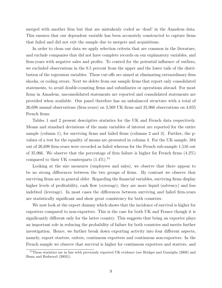merged with another firm but that are mistakenly coded as 'dead' in the Amadeus data. This ensures that our dependent variable has been accurately constructed to capture firms that failed and did not exit the sample due to mergers and acquisitions.

In order to clean our data we apply selection criteria that are common in the literature, and exclude companies that did not have complete records on our explanatory variables, and firm-years with negative sales and profits. To control for the potential influence of outliers, we excluded observations in the 0.5 percent from the upper and the lower tails of the distribution of the regression variables. These cut-offs are aimed at eliminating extraordinary firm shocks, or coding errors. Next we delete from our sample firms that report only consolidated statements, to avoid double-counting firms and subsidiaries or operations abroad. For most firms in Amadeus, unconsolidated statements are reported and consolidated statements are provided when available. Our panel therefore has an unbalanced structure with a total of 26,698 annual observations (firm-years) on 3,569 UK firms and 35,966 observations on 4,855 French firms.

Tables 1 and 2 present descriptive statistics for the UK and French data respectively. Means and standard deviations of the main variables of interest are reported for the entire sample (column 1), for surviving firms and failed firms (columns 2 and 3). Further, the pvalues of a test for the equality of means are presented in column 4. For the UK sample, 384 out of 26,698 firm-years were recorded as failed whereas for the French sub-sample 1,516 out of 35,966. We observe that the percentage of firm failure is higher for French firms (4.2%) compared to their UK counterparts  $(1.4\%)$ .<sup>13</sup>

Looking at the size measures (employees and sales), we observe that there appear to be no strong differences between the two groups of firms. By contrast we observe that surviving firms are in general older. Regarding the financial variables, surviving firms display higher levels of profitability, cash flow (coverage), they are more liquid (solvency) and less indebted (leverage). In most cases the differences between surviving and failed firm-years are statistically significant and show great consistency for both countries.

We now look at the export dummy which shows that the incidence of survival is higher for exporters compared to non-exporters. This is the case for both UK and France though it is significantly different only for the latter country. This suggests that being an exporter plays an important role in reducing the probability of failure for both countries and merits further investigation. Hence, we further break down exporting activity into four different aspects, namely, export starters, exiters, continuous exporters and continuous non-exporters. In the French sample we observe that survival is higher for continuous exporters and starters, and

<sup>&</sup>lt;sup>13</sup>These statistics are in line with previously reported UK evidence (see Bridges and Guariglia (2008) and Bunn and Redwood (2003)).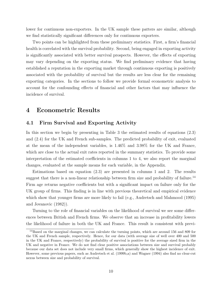lower for continuous non-exporters. In the UK sample these patters are similar, although we find statistically significant differences only for continuous exporters.

Two points can be highlighted from these preliminary statistics. First, a firm's financial health is correlated with the survival probability. Second, being engaged in exporting activity is significantly associated with better survival prospects. However, the effects of exporting may vary depending on the exporting status. We find preliminary evidence that having established a reputation in the exporting market through continuous exporting is positively associated with the probability of survival but the results are less clear for the remaining exporting categories. In the sections to follow we provide formal econometric analysis to account for the confounding effects of financial and other factors that may influence the incidence of survival.

## 4 Econometric Results

#### 4.1 Firm Survival and Exporting Activity

In this section we begin by presenting in Table 3 the estimated results of equations (2.3) and (2.4) for the UK and French sub-samples. The predicted probability of exit, evaluated at the mean of the independent variables, is 1.46% and 3.98% for the UK and France, which are close to the actual exit rates reported in the summary statistics. To provide some interpretation of the estimated coefficients in columns 1 to 4, we also report the marginal changes, evaluated at the sample means for each variable, in the Appendix.

Estimations based on equation (2.3) are presented in columns 1 and 2. The results suggest that there is a non-linear relationship between firm size and probability of failure.<sup>14</sup> Firm age returns negative coefficients but with a significant impact on failure only for the UK group of firms. This finding is in line with previous theoretical and empirical evidence which show that younger firms are more likely to fail (e.g., Audretsch and Mahmood (1995) and Jovanovic (1982)).

Turning to the role of financial variables on the likelihood of survival we see some differences between British and French firms. We observe that an increase in profitability lowers the likelihood of failure in both the UK and France. This result is consistent with previ-

<sup>14</sup>Based on the marginal changes, we can calculate the turning points, which are around 156 and 809 for the UK and French sample, respectively. Hence, for our data (with average size of well over 400 and 500 in the UK and France, respectively) the probability of survival is positive for the average sized firm in the UK and negative in France. We do not find clear positive associations between size and survival probably because our data set does not include very small firms, which generally show the highest incidence of exit. However, some previous papers, such as Audretsch et al. (1999b,a) and Wagner (1994) also find no clear-cut nexus between size and probability of survival.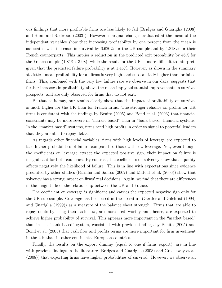ous findings that more profitable firms are less likely to fail (Bridges and Guariglia (2008) and Bunn and Redwood (2003)). However, marginal changes evaluated at the mean of the independent variables show that increasing profitability by one percent from the mean is associated with increases in survival by 6.620% for the UK sample and by 1.818% for their French counterparts. This implies a reduction in the predicted exit probability by 46% for the French sample (1.818 / 3.98), while the result for the UK is more difficult to interpret, given that the predicted failure probability is at 1.46%. However, as shown in the summary statistics, mean profitability for all firms is very high, and substantially higher than for failed firms. This, combined with the very low failure rate we observe in our data, suggests that further increases in profitability above the mean imply substantial improvements in survival prospects, and are only observed for firms that do not exit.

Be that as it may, our results clearly show that the impact of profitability on survival is much higher for the UK than for French firms. The stronger reliance on profits for UK firms is consistent with the findings by Benito (2005) and Bond et al. (2003) that financial constraints may be more severe in "market based" than in "bank based" financial systems. In the "market based" systems, firms need high profits in order to signal to potential lenders that they are able to repay debts.

As regards other financial variables, firms with high levels of leverage are expected to face higher probabilities of failure compared to those with low leverage. Yet, even though the coefficients on leverage attract the expected positive sign, their impact on failure is insignificant for both countries. By contrast, the coefficients on solvency show that liquidity affects negatively the likelihood of failure. This is in line with expectations since evidence presented by other studies (Farinha and Santos (2002) and Mateut et al. (2006)) show that solvency has a strong impact on firms' real decisions. Again, we find that there are differences in the magnitude of the relationship between the UK and France.

The coefficient on coverage is significant and carries the expected negative sign only for the UK sub-sample. Coverage has been used in the literature (Gertler and Gilchrist (1994) and Guariglia (1999)) as a measure of the balance sheet strength. Firms that are able to repay debts by using their cash flow, are more creditworthy and, hence, are expected to achieve higher probability of survival. This appears more important in the "market based" than in the "bank based" system, consistent with previous findings by Benito (2005) and Bond et al. (2003) that cash flow and profits terms are more important for firm investment in the UK than in other continental European countries.

Finally, the results on the export dummy (equal to one if firms export), are in line with previous findings in the literature (Bridges and Guariglia (2008) and Greenaway et al. (2008)) that exporting firms have higher probabilities of survival. However, we observe an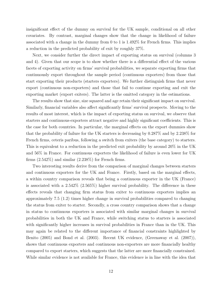insignificant effect of the dummy on survival for the UK sample, conditional on all other covariates. By contrast, marginal changes show that the change in likelihood of failure associated with a change in the dummy from 0 to 1 is 1.492% for French firms. This implies a reduction in the predicted probability of exit by roughly 37%.

Next, we consider further the direct impact of exporting status on survival (columns 3 and 4). Given that our scope is to show whether there is a differential effect of the various facets of exporting activity on firms' survival probabilities, we separate exporting firms that continuously export throughout the sample period (continuous exporters) from those that start exporting their products (starters exporters). We further distinguish firms that never export (continuous non-exporters) and those that fail to continue exporting and exit the exporting market (export exiters). The latter is the omitted category in the estimations.

The results show that size, size squared and age retain their significant impact on survival. Similarly, financial variables also affect significantly firms' survival prospects. Moving to the results of most interest, which is the impact of exporting status on survival, we observe that starters and continuous-exporters attract negative and highly significant coefficients. This is the case for both countries. In particular, the marginal effects on the export dummies show that the probability of failure for the UK starters is decreasing by 0.287% and by 2.238% for French firms, ceteris paribus, following a switch from exiters (the base category) to starters. This is equivalent to a reduction in the predicted exit probability by around 20% in the UK and 56% in France. For continuous exporters the likelihood of failure is even lower for UK firms  $(2.542\%)$  and similar  $(2.238\%)$  for French firms.

Two interesting results derive from the comparison of marginal changes between starters and continuous exporters for the UK and France. Firstly, based on the marginal effects, a within country comparison reveals that being a continuous exporter in the UK (France) is associated with a 2.542% (2.565%) higher survival probability. The difference in these effects reveals that changing firm status from exiter to continuous exporters implies an approximately 7.5 (1.2) times higher change in survival probabilities compared to changing the status from exiter to starter. Secondly, a cross country comparison shows that a change in status to continuous exporters is associated with similar marginal changes in survival probabilities in both the UK and France, while switching status to starters is associated with significantly higher increases in survival probabilities in France than in the UK. This may again be related to the different importance of financial constraints highlighted by Benito (2005) and Bond et al. (2003). Recent UK evidence, (Greenaway et al. (2007)), shows that continuous exporters and continuous non-exporters are more financially healthy compared to export starters, which suggests that the latter are more financially constrained. While similar evidence is not available for France, this evidence is in line with the idea that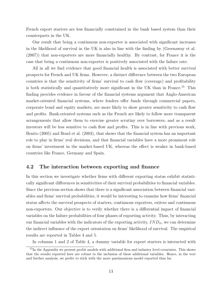French export starters are less financially constrained in the bank based system than their counterparts in the UK.

Our result that being a continuous non-exporter is associated with significant increases in the likelihood of survival in the UK is also in line with the finding by (Greenaway et al. (2007)) that non-exporters are more financially healthy. By contrast, for France it is the case that being a continuous non-exporter is positively associated with the failure rate.

All in all we find evidence that good financial health is associated with better survival prospects for French and UK firms. However, a distinct difference between the two European countries is that the sensitivity of firms' survival to cash flow (coverage) and profitability is both statistically and quantitatively more significant in the UK than in France.<sup>15</sup> This finding provides evidence in favour of the financial systems argument that Anglo-American market-oriented financial systems, where lenders offer funds through commercial papers, corporate bond and equity markets, are more likely to show greater sensitivity to cash flow and profits. Bank-oriented systems such as the French are likely to follow more transparent arrangements that allow them to exercise greater scrutiny over borrowers, and as a result investors will be less sensitive to cash flow and profits. This is in line with previous work, Benito (2005) and Bond et al. (2003), that shows that the financial system has an important role to play in firms' real decisions, and that financial variables have a more prominent role on firms' investment in the market-based UK, whereas the effect is weaker in bank-based countries like France, Germany and Spain.

#### 4.2 The interaction between exporting and finance

In this section we investigate whether firms with different exporting status exhibit statistically significant differences in sensitivities of their survival probabilities to financial variables. Since the previous section shows that there is a significant association between financial variables and firms' survival probabilities, it would be interesting to examine how firms' financial status affects the survival prospects of starters, continuous exporters, exiters and continuous non-exporters. Our objective is to verify whether there is a differential impact of financial variables on the failure probabilities of four phases of exporting activity. Thus, by interacting our financial variables with the indicators of the exporting activity,  $IND_{it}$ , we can determine the indirect influence of the export orientation on firms' likelihood of survival. The empirical results are reported in Tables 4 and 5.

In columns 1 and 2 of Table 4, a dummy variable for export starters is interacted with

<sup>&</sup>lt;sup>15</sup>In the Appendix we present probit models with additional firm and industry level covariates. This shows that the results reported here are robust to the inclusion of these additional variables. Hence, in the text and further analysis, we prefer to stick with the more parsimonious model reported thus far.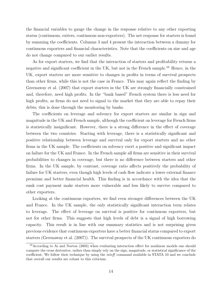the financial variables to gauge the change in the response relative to any other exporting status (continuous, exiters, continuous non-exporters). The net response for starters is found by summing the coefficients. Columns 3 and 4 present the interaction between a dummy for continuous exporters and financial characteristics. Note that the coefficients on size and age do not change compared to our earlier results.

As for export starters, we find that the interaction of starters and profitability returns a negative and significant coefficient in the UK, but not in the French sample.<sup>16</sup> Hence, in the UK, export starters are more sensitive to changes in profits in terms of survival prospects than other firms, while this is not the case in France. This may again reflect the finding by Greenaway et al. (2007) that export starters in the UK are strongly financially constrained and, therefore, need high profits. In the "bank based" French system there is less need for high profits, as firms do not need to signal to the market that they are able to repay their debts; this is done through the monitoring by banks.

The coefficients on leverage and solvency for export starters are similar in sign and magnitude in the UK and French sample, although the coefficient on leverage for French firms is statistically insignificant. However, there is a strong difference in the effect of coverage between the two countries. Starting with leverage, there is a statistically significant and positive relationship between leverage and survival only for export starters and no other firms in the UK sample. The coefficients on solvency exert a positive and significant impact on failure for the UK and France. In the French sample all firms are sensitive in their survival probabilities to changes in coverage, but there is no difference between starters and other firms. In the UK sample, by contrast, coverage ratio affects positively the probability of failure for UK starters, even though high levels of cash flow indicate a lower external finance premium and better financial health. This finding is in accordance with the idea that the sunk cost payment make starters more vulnerable and less likely to survive compared to other exporters.

Looking at the continuous exporters, we find even stronger differences between the UK and France. In the UK sample, the only statistically significant interaction term relates to leverage. The effect of leverage on survival is positive for continuous exporters, but not for other firms. This suggests that high levels of debt is a signal of high borrowing capacity. This result is in line with our summary statistics and is not surprising given previous evidence that continuous exporters have a better financial status compared to export starters (Greenaway et al. (2007)). The survival prospects of the UK continuous exporters do

<sup>&</sup>lt;sup>16</sup> According to Ai and Norton (2003) when evaluating interaction effect for nonlinear models one should compute the cross derivative, rather than simply rely on the sign, magnitude, or statistical significance of the coefficient. We follow their technique by using the inteff command available in STATA 10 and we conclude that overall our results are robust to this criticism.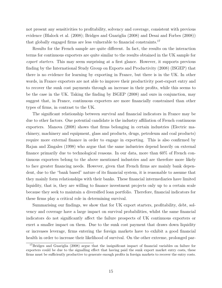not present any sensitivities to profitability, solvency and coverage, consistent with previous evidence (Blalock et al. (2008); Bridges and Guariglia (2008) and Desai and Forbes (2008)) that globally engaged firms are less vulnerable to financial constraints.<sup>17</sup>

Results for the French sample are quite different. In fact, the results on the interaction terms for continuous exporters are quite similar to the results obtained in the UK sample for export starters. This may seem surprising at a first glance. However, it supports previous finding by the International Study Group on Exports and Productivity (2008) (ISGEP) that there is no evidence for learning by exporting in France, but there is in the UK. In other words, in France exporters are not able to improve their productivity post-export entry and to recover the sunk cost payments through an increase in their profits, while this seems to be the case in the UK. Taking the finding by ISGEP (2008) and ours in conjunction, may suggest that, in France, continuous exporters are more financially constrained than other types of firms, in contrast to the UK.

The significant relationship between survival and financial indicators in France may be due to other factors. One potential candidate is the industry affiliation of French continuous exporters. Manova (2008) shows that firms belonging in certain industries (Electric machinery, machinery and equipment, glass and products, drugs, petroleum and coal products) require more external finance in order to engage in exporting. This is also confirmed by Rajan and Zingales (1998) who argue that the same industries depend heavily on external finance primarily due to technological reasons. In our data, more than 60% of French continuous exporters belong to the above mentioned industries and are therefore more likely to face greater financing needs. However, given that French firms are mainly bank dependent, due to the "bank based" nature of its financial system, it is reasonable to assume that they mainly form relationships with their banks. These financial intermediaries have limited liquidity, that is, they are willing to finance investment projects only up to a certain scale because they seek to maintain a diversified loan portfolio. Therefore, financial indicators for these firms play a critical role in determining survival.

Summarising our findings, we show that for UK export starters, profitability, debt, solvency and coverage have a large impact on survival probabilities, whilst the same financial indicators do not significantly affect the failure prospects of UK continuous exporters or exert a smaller impact on them. Due to the sunk cost payment that draws down liquidity or increases leverage, firms entering the foreign markets have to exhibit a good financial health in order to increase their likelihood of survival. On the other extreme, prolonged par-

<sup>&</sup>lt;sup>17</sup>Bridges and Guariglia (2008) argue that the insignificant impact of financial variables on failure for exporters could be due to the signalling effect that having paid the sunk export market entry costs, these firms must be sufficiently productive to generate enough profits in foreign markets to recover the entry costs.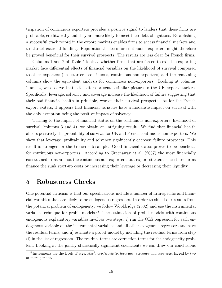ticipation of continuous exporters provides a positive signal to lenders that these firms are profitable, creditworthy and they are more likely to meet their debt obligations. Establishing a successful track record in the export markets enables firms to access financial markets and to attract external funding. Reputational effects for continuous exporters might therefore be proved beneficial for their survival prospects. The results are less clear for French firms.

Columns 1 and 2 of Table 5 look at whether firms that are forced to exit the exporting market face differential effects of financial variables on the likelihood of survival compared to other exporters (i.e. starters, continuous, continuous non-exporters) and the remaining columns show the equivalent analysis for continuous non-exporters. Looking at columns 1 and 2, we observe that UK exiters present a similar picture to the UK export starters. Specifically, leverage, solvency and coverage increase the likelihood of failure suggesting that their bad financial health in principle, worsen their survival prospects. As for the French export exiters, it appears that financial variables have a moderate impact on survival with the only exception being the positive impact of solvency.

Turning to the impact of financial status on the continuous non-exporters' likelihood of survival (columns 3 and 4), we obtain an intriguing result. We find that financial health affects positively the probability of survival for UK and French continuous non-exporters. We show that leverage, profitability and solvency significantly decrease failure prospects. This result is stronger for the French sub-sample. Good financial status proves to be beneficial for continuous non-exporters. According to Greenaway et al. (2007) the most financially constrained firms are not the continuous non-exporters, but export starters, since those firms finance the sunk start-up costs by increasing their leverage or decreasing their liquidity.

#### 5 Robustness Checks

One potential criticism is that our specifications include a number of firm-specific and financial variables that are likely to be endogenous regressors. In order to shield our results from the potential problem of endogeneity, we follow Wooldridge (2002) and use the instrumental variable technique for probit models.<sup>18</sup> The estimation of probit models with continuous endogenous explanatory variables involves two steps: i) run the OLS regression for each endogenous variable on the instrumental variables and all other exogenous regressors and save the residual terms, and ii) estimate a probit model by including the residual terms from step (i) in the list of regressors. The residual terms are correction terms for the endogeneity problem. Looking at the jointly statistically significant coefficients we can draw our conclusions

<sup>&</sup>lt;sup>18</sup>Instruments are the levels of size, size<sup>2</sup>, profitability, leverage, solvency and coverage, lagged by two or more periods.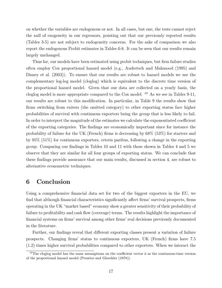on whether the variables are endogenous or not. In all cases, but one, the tests cannot reject the null of exogeneity in our regressors, pointing out that our previously reported results (Tables 3-5) are not subject to endogeneity concerns. For the sake of comparison we also report the endogenous Probit estimates in Tables 6-8. It can be seen that our results remain largely unchanged.

Thus far, our models have been estimated using probit techniques, but firm failure studies often employ Cox proportional hazard model (e.g., Audretsch and Mahmood (1995) and Disney et al. (2003)). To ensure that our results are robust to hazard models we use the complementary log-log model (cloglog) which is equivalent to the discrete time version of the proportional hazard model. Given that our data are collected on a yearly basis, the cloglog model is more appropriate compared to the Cox model. <sup>19</sup> As we see in Tables 9-11, our results are robust to this modification. In particular, in Table 9 the results show that firms switching from exiters (the omitted category) to other exporting status face higher probabilities of survival with continuous exporters being the group that is less likely to fail. In order to interpret the magnitude of the estimates we calculate the exponentiated coefficient of the exporting categories. The findings are economically important since for instance the probability of failure for the UK (French) firms is decreasing by 68% (53%) for starters and by 95% (51%) for continuous exporters, ceteris paribus, following a change in the exporting group. Comparing our findings in Tables 10 and 11 with those shown in Tables 4 and 5 we observe that they are similar for all four groups of exporting status. We can conclude that these findings provide assurance that our main results, discussed in section 4, are robust to alternative econometric techniques.

## 6 Conclusion

Using a comprehensive financial data set for two of the biggest exporters in the EU, we find that although financial characteristics significantly affect firms' survival prospects, firms operating in the UK "market based" economy show a greater sensitivity of their probability of failure to profitability and cash flow (coverage) terms. The results highlight the importance of financial systems on firms' survival among other firms' real decisions previously documented in the literature.

Further, our findings reveal that different exporting classes present a variation of failure prospects. Changing firms' status to continuous exporters, UK (French) firms have 7.5 (1.2) times higher survival probabilities compared to other exporters. When we interact the

<sup>&</sup>lt;sup>19</sup>The cloglog model has the same assumptions on the coefficient vector  $\hat{a}$  as the continuous-time version of the proportional hazard model (Prentice and Gloeckler (1978)).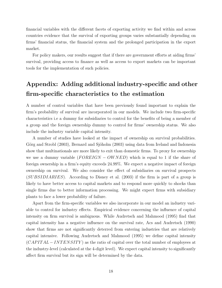financial variables with the different facets of exporting activity we find within and across countries evidence that the survival of exporting groups varies substantially depending on firms' financial status, the financial system and the prolonged participation in the export market.

For policy makers, our results suggest that if there are government efforts at aiding firms' survival, providing access to finance as well as access to export markets can be important tools for the implementation of such policies.

# Appendix: Adding additional industry-specific and other firm-specific characteristics to the estimation

A number of control variables that have been previously found important to explain the firm's probability of survival are incorporated in our models. We include two firm-specific characteristics i.e a dummy for subsidiaries to control for the benefits of being a member of a group and the foreign ownership dummy to control for firms' ownership status. We also include the industry variable capital intensity.

A number of studies have looked at the impact of ownership on survival probabilities. Görg and Strobl (2003), Bernard and Sjöholm (2003) using data from Ireland and Indonesia show that multinationals are more likely to exit than domestic firms. To proxy for ownership we use a dummy variable  $(FOREIGN - OWNED)$  which is equal to 1 if the share of foreign ownership in a firm's equity exceeds 24.99%. We expect a negative impact of foreign ownership on survival. We also consider the effect of subsidiaries on survival prospects (SUBSIDIARIES). According to Disney et al. (2003) if the firm is part of a group is likely to have better access to capital markets and to respond more quickly to shocks than single firms due to better information processing. We might expect firms with subsidiary plants to face a lower probability of failure.

Apart from the firm-specific variables we also incorporate in our model an industry variable to control for industry effects. Empirical evidence concerning the influence of capital intensity on firm survival is ambiguous. While Audretsch and Mahmood (1995) find that capital intensity has a negative influence on the survival rate, Acs and Audretsch (1990) show that firms are not significantly deterred from entering industries that are relatively capital intensive. Following Audretsch and Mahmood (1995) we define capital intensity  $(CAPITAL - INTERSITY)$  as the ratio of capital over the total number of employees at the industry-level (calculated at the 4-digit level). We expect capital intensity to significantly affect firm survival but its sign will be determined by the data.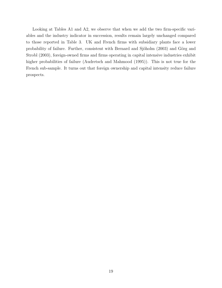Looking at Tables A1 and A2, we observe that when we add the two firm-specific variables and the industry indicator in succession, results remain largely unchanged compared to those reported in Table 3. UK and French firms with subsidiary plants face a lower probability of failure. Further, consistent with Bernard and Sjöholm (2003) and Görg and Strobl (2003), foreign-owned firms and firms operating in capital intensive industries exhibit higher probabilities of failure (Audretsch and Mahmood  $(1995)$ ). This is not true for the French sub-sample. It turns out that foreign ownership and capital intensity reduce failure prospects.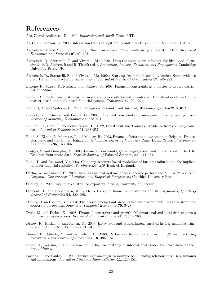#### References

Acs, Z. and Audretsch, D.: 1990, Innovation and Small Firms, MIT.

- Ai, C. and Norton, E.: 2003, Interaction terms in logit and probit models, Economic Letters 80, 123–129.
- Audretsch, D. and Mahmood, T.: 1995, New firm survival: New results using a hazard function, Review of Economics and Statistics 97, 97–103.
- Audretsch, D., Santarelli, E. and Vivarelli, M.: 1999a, Does the startup size influence the likelihood of survival?, in D. Audretsch and R. Thurik (eds), Innovation, Industry Evolution, and Employment, Cambridge University Press, UK.
- Audretsch, D., Santarelli, E. and Vivarelli, M.: 1999b, Start up size and industrial dynamics: Some evidence from Italian manufacturing, International Journal of Industrial Organization 17, 965–983.
- Bellone, F., Musso, P., Nesta, L. and Schiavo, S.: 2008, Financial constraints as a barrier to export participation, Mimeo.
- Benito, A.: 2005, Financial pressure, monetary policy effects and inventories: Firm-level evidence from a market based and bank based financial system, Economica 72, 201–224.
- Bernard, A. and Sjöholm, F.: 2003, Foreign owners and plant survival, *Working Paper 10039*, NBER.
- Blalock, G., P.Gertler and Levine, D.: 2008, Financial constraints on investment in an emerging crisis, Journal of Monetary Economics 55, 568–591.
- Blundell, R., Bond, S. and Schiantarelli., F.: 1992, Investment and Tobin's q: Evidence from company panel data, Journal of Econometrics 51, 233–257.
- Bond, S., Elston, J., Mairesse, J. and Mulkay, B.: 2003, Financial factors and investment in Belgium, France, Germany, and the United Kingdom: A Comparison using Company Panel Data, Review of Economics and Statistics 85, 153–165.
- Bridges, S. and Guariglia, A.: 2008, Financial constraints, global engagement, and firm survival in the UK: Evidence from micro data, Scottish Journal of Political Economy 55, 444–464.
- Bunn, P. and Redwood, V.: 2003, Company accounts based modelling of business failures and the implications for financial stability, Working Paper 210, Bank of England.
- Carlin, W. and Mayer, C.: 2000, How do financial systems affect economic performance?, in X. Vives (ed.), Corporate Governance: Theoretical and Empirical Perspectives, Cabridge University Press.
- Chaney, T.: 2005, Liquidity constrained exporters, Mimeo, University of Chicago.
- Clementi, L. and Hopenhayn, H.: 2006, A theory of financing constraints and firm dynamics, Quarterly Journal of Economics 54, 229–265.
- Dennis, D. and Mihov, V.: 2003, The choice among bank debt, non-bank private debt: Evidence from new corporate borrowings, Journal of Financial Economics 70, 3–28.
- Desai, M. and Forbes, K.: 2008, Financial constraints and growth: Multinational and local firm responses to currency depreciations, Review of Financial Studies  $21$ ,  $2857 - 2888$ .
- Disney, R., Haskel, J. and Heden, Y.: 2003, Entry, exit and establishment survival in UK manufacturing, Journal of Industrial Economics 51, 91–112.
- Dunne, T., Roberts, M. and Samuelson, L.: 1988, Patterns of firm entry and exit in US manufacturing industries, Rand Journal of Economics, 19, 495–515.
- Eaton, J., Kortum, S. and Kramaz, F.: 2004, An anatomy of international trade: Evidence from French firms, Mimeo.
- Farinha, L. and Santos, J.: 2002, Switching from single to multiple bank lending relationships: Determinants and implications, Journal of Financial Intermediation 11, 124–151.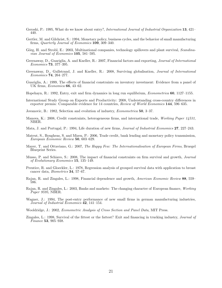- Geroski, P.: 1995, What do we know about entry?, International Journal of Industrial Organization 13, 421– 440.
- Gertler, M. and Gilchrist, S.: 1994, Monetary policy, business cycles, and the behavior of small manufacturing firms, Quarterly Journal of Economics 109, 309–340.
- Görg, H. and Strobl, E.: 2003, Multinational companies, technology spillovers and plant survival, Scandinavian Journal of Economics 105, 581–595.
- Greenaway, D., Guariglia, A. and Kneller, R.: 2007, Financial factors and exporting, Journal of International Economics 73, 377–395.
- Greenaway, D., Gullstrand, J. and Kneller, R.: 2008, Surviving globalisation, Journal of International Economics 74, 264–277.
- Guariglia, A.: 1999, The effects of financial constraints on inventory investment: Evidence from a panel of UK firms, Economica 66, 43–62.
- Hopehayn, R.: 1992, Entry, exit and firm dynamics in long run equilibrium, Econometrica 60, 1127–1155.
- International Study Group on Exports and Productivity: 2008, Understanding cross-country differences in exporter premia: Comparable evidence for 14 countries, Review of World Economics 144, 596–635.

Jovanovic, B.: 1982, Selection and evolution of industry, Econometrica 50, 3–37.

- Manova, K.: 2008, Credit constraints, heterogeneous firms, and international trade, Working Paper 14531, NBER.
- Mata, J. and Portugal, P.: 1994, Life duration of new firms, *Journal of Industrial Economics* 27, 227–243.
- Mateut, S., Bougheas, S. and Mizen, P.: 2006, Trade credit, bank lending and monetary policy transmission, European Economic Review 50, 603–629.
- Mayer, T. and Ottaviano, G.: 2007, The Happy Few: The Internationalisation of European Firms, Bruegel Blueprint Series.
- Musso, P. and Schiavo, S.: 2008, The impact of financial constraints on firm survival and growth, Journal of Evolutionary Economics 15, 135–149.
- Prentice, R. and Gloeckler, L.: 1978, Regression analysis of grouped survival data with application to breast cancer data, Biometrics 34, 57–67.
- Rajan, R. and Zingales, L.: 1998, Financial dependence and growth, American Economic Review 88, 559– 586.
- Rajan, R. and Zingales, L.: 2003, Banks and markets: The changing character of European finance, Working Paper 9595, NBER.
- Wagner, J.: 1994, The post-entry performance of new small firms in german manufacturing industries,  $Journal of Industrial Economics$  42, 141–154.
- Wooldridge, J.: 2002, Econometric Analysis of Cross Section and Panel Data, MIT Press.
- Zingales, L.: 1998, Survival of the fittest or the fattest? Exit and financing in trucking industry, Journal of Finance 53, 905–938.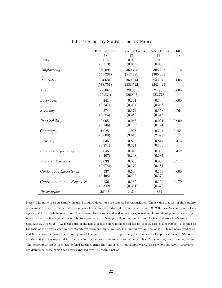|                                      | <b>Total Sample</b> | <b>Surviving Firms</b> | <b>Failed Firms</b> | Diff. |
|--------------------------------------|---------------------|------------------------|---------------------|-------|
|                                      | (1)                 | (2)                    | (3)                 | (4)   |
| $Fall_{it}$                          | 0.014               | 0.000                  | 1.000               |       |
|                                      | (0.119)             | (0.000)                | (0.000)             |       |
| $Employes_{it}$                      | 360.096             | 360.705                | 306.237             | 0.116 |
|                                      | (541.231)           | (543.287)              | (305.233)           |       |
| $Real Sales_{it}$                    | 354.634             | 359.044                | 243.041             | 0.008 |
|                                      | (578.751)           | (581.542)              | (241.923)           |       |
| $Age_{it}$                           | 29.487              | 29.553                 | 24.937              | 0.000 |
|                                      | (26.831)            | (26.867)               | (23.773)            |       |
| $Leverage_{it}$                      | 0.241               | 0.241                  | 0.300               | 0.000 |
|                                      | (0.237)             | (0.237)                | (0.248)             |       |
| $Solvency_{it}$                      | 0.374               | 0.374                  | 0.368               | 0.704 |
|                                      | (0.283)             | (0.282)                | (0.318)             |       |
| $Profitability_{it}$                 | 0.065               | 0.066                  | 0.021               | 0.000 |
|                                      | (0.136)             | (0.135)                | (0.121)             |       |
| $Coverage_{it}$                      | 1.025               | 1.028                  | 0.747               | 0.255 |
|                                      | (3.608)             | (3.616)                | (2.870)             |       |
| $Export_{it}$                        | 0.835               | 0.835                  | 0.814               | 0.413 |
|                                      | (0.371)             | (0.371)                | (0.389)             |       |
| $Starters$ Exporters <sub>it</sub>   | 0.045               | 0.045                  | 0.036               | 0.412 |
|                                      | (0.207)             | (0.208)                | (0.187)             |       |
| $Exiters$ Exporters <sub>it</sub>    | 0.033               | 0.033                  | 0.036               | 0.712 |
|                                      | (0.178)             | (0.179)                | (0.187)             |       |
| $Continuous$ Exporters <sub>it</sub> | 0.537               | 0.540                  | 0.163               | 0.000 |
|                                      | (0.498)             | (0.499)                | (0.370)             |       |
| $Continuous\ non-Exporters_{it}$     | 0.136               | 0.135                  | 0.166               | 0.179 |
|                                      | (0.342)             | (0.341)                | (0.373)             |       |
| <i>Observations</i>                  | 26698               | 26314                  | 384                 |       |

Table 1: Summary Statistics for UK Firms

Notes: The table presents sample means. Standard deviations are reported in parentheses. The p-value of a test of the equality of means is reported. The subscript i indexes firms, and the subscript t, time, where  $t = 1998-2005$ . Fail<sub>it</sub> is a dummy that equals 1 if firm i fails in year t, and 0 otherwise. Real assets and real sales are expressed in thousands of pounds. Leverage<sub>it</sub> measured as the firm's short-term debt to assets ratio.  $Solvency_{it}$  defined as the ratio of the firm's shareholder's funds to its total assets. Profitability<sub>it</sub> is the ratio of the firm's profits before interest and tax to its total assets. Coveragey<sub>it</sub> is defined as the ratio of the firm's cash flow over its interest payment. Subsidiaries<sub>i</sub> is a dummy variable equal to 1 if firm i has subsidiaries, and 0 otherwise. Export<sub>it</sub> is a dummy variable equal to 1 if firm i reports a positive amount of exports in year t. Starters<sub>it</sub> are those firms that exported in t, but not in previous years.  $Exiters_{it}$  are defined as those firms exiting the exporting market. The continuous exporters<sub>it</sub> are defined as those firms that exported in all sample years. The continuous non – exporters<sub>it</sub> are defined as those firms that never exported over the sample period.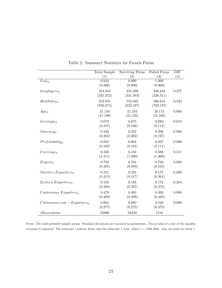|                                      | <b>Total Sample</b> | <b>Surviving Firms</b> | <b>Failed Firms</b> | Diff. |
|--------------------------------------|---------------------|------------------------|---------------------|-------|
|                                      | (1)                 | (2)                    | (3)                 | (4)   |
| $Fall_{it}$                          | 0.042               | 0.000                  | 1.000               |       |
|                                      | (0.200)             | (0.000)                | (0.000)             |       |
| $Employes_{it}$                      | 254.934             | 255.299                | 246.243             | 0.377 |
|                                      | (331.372)           | (331.583)              | (326.311)           |       |
| $Real Sales_{it}$                    | 552.641             | 552.049                | 566.616             | 0.540 |
|                                      | (820.874)           | (822.197)              | (789.197)           |       |
| $Age_{it}$                           | 21.150              | 21.193                 | 20.173              | 0.066 |
|                                      | (21.199)            | (21.192)               | (21.340)            |       |
| $Leverage_{it}$                      | 0.073               | 0.073                  | 0.080               | 0.014 |
|                                      | (0.107)             | (0.106)                | (0.114)             |       |
| $Solvency_{it}$                      | 0.349               | 0.352                  | 0.290               | 0.000 |
|                                      | (0.202)             | (0.202)                | (0.197)             |       |
| $Profitability_{it}$                 | 0.062               | 0.064                  | 0.037               | 0.000 |
|                                      | (0.103)             | (0.101)                | (0.111)             |       |
| $Coverage_{it}$                      | 0.432               | 0.434                  | 0.386               | 0.211 |
|                                      | (1.311)             | (1.300)                | (1.360)             |       |
| $Export_{it}$                        | 0.792               | 0.794                  | 0.726               | 0.000 |
|                                      | (0.405)             | (0.403)                | (0.445)             |       |
| $Starters$ Exporters <sub>it</sub>   | 0.221               | 0.224                  | 0.157               | 0.000 |
|                                      | (0.415)             | (0.417)                | (0.364)             |       |
| $Exiters$ Exporters <sub>it</sub>    | 0.183               | 0.183                  | 0.172               | 0.284 |
|                                      | (0.386)             | (0.387)                | (0.378)             |       |
| $Continuous$ Exporters <sub>it</sub> | 0.479               | 0.483                  | 0.369               | 0.000 |
|                                      | (0.499)             | (0.499)                | (0.482)             |       |
| $Continuous\ non-Exporters_{it}$     | 0.084               | 0.080                  | 0.166               | 0.000 |
|                                      | (0.277)             | (0.272)                | (0.373)             |       |
| Observations                         | 35966               | 34450                  | 1516                |       |

Table 2: Summary Statistics for French Firms

Notes: The table presents sample means. Standard deviations are reported in parentheses. The p-value of a test of the equality of means is reported. The subscript i indexes firms, and the subscript  $t$ , time, where  $t = 1998-2005$ . Also see notes to Table 1.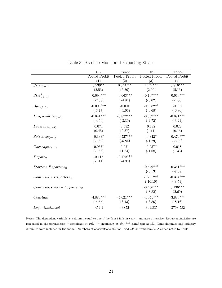|                                    | UK            | France        | $\overline{\text{UK}}$ | France        |
|------------------------------------|---------------|---------------|------------------------|---------------|
|                                    | Pooled Probit | Pooled Probit | Pooled Probit          | Pooled Probit |
|                                    | (1)           | (2)           | (3)                    | (4)           |
| $Size_{i(t-1)}$                    | $0.939**$     | $0.844***$    | $1.122***$             | $0.816***$    |
|                                    | (2.53)        | (5.30)        | (2.90)                 | (5.16)        |
| $Size_{i(t-1)}^2$                  | $-0.090***$   | $-0.063***$   | $-0.107***$            | $-0.060***$   |
|                                    | $(-2.68)$     | $(-4.84)$     | $(-3.02)$              | $(-4.66)$     |
| $Age_{i(t-1)}$                     | $-0.008***$   | $-0.001$      | $-0.008***$            | $-0.001$      |
|                                    | $(-3.77)$     | $(-1.06)$     | $(-3.68)$              | $(-0.80)$     |
| $Profitability_{i(t-1)}$           | $-0.841***$   | $-0.872***$   | $-0.862***$            | $-0.871***$   |
|                                    | $(-4.66)$     | $(-3.39)$     | $(-4.72)$              | $(-3.21)$     |
| $Leverage_{i(t-1)}$                | 0.074         | 0.052         | 0.192                  | 0.022         |
|                                    | (0.45)        | (0.37)        | (1.11)                 | (0.16)        |
| $Solvency_{i(t-1)}$                | $-0.333*$     | $-0.527***$   | $-0.342*$              | $-0.479***$   |
|                                    | $(-1.80)$     | $(-5.84)$     | $(-1.79)$              | $(-5.32)$     |
| $Coverage_{i(t-1)}$                | $-0.037*$     | 0.021         | $-0.037*$              | 0.018         |
|                                    | $(-1.66)$     | (1.64)        | $(-1.68)$              | (1.33)        |
| $Export_{it}$                      | $-0.117$      | $-0.172***$   |                        |               |
|                                    | $(-1.11)$     | $(-4.98)$     |                        |               |
| $Starters$ Exporters <sub>it</sub> |               |               | $-0.549***$            | $-0.341***$   |
|                                    |               |               | $(-3.13)$              | $(-7.38)$     |
| $Continuous$ $Exporters_{it}$      |               |               | $-1.231***$            | $-0.334***$   |
|                                    |               |               | $(-10.10)$             | $(-8.53)$     |
| $Continuous\ non-Exporters_{it}$   |               |               | $-0.456***$            | $0.136***$    |
|                                    |               |               | $(-3.82)$              | (2.69)        |
| Constant                           | $-4.886***$   | $-4.021***$   | $-4.041***$            | $-3.880***$   |
|                                    | $(-4.65)$     | (8.43)        | $(-3.86)$              | $(-8.16)$     |
| $Log-likelihood$                   | $-454.1$      | $-3852$       | $-391.835$             | $-3793.582$   |

Table 3: Baseline Model and Exporting Status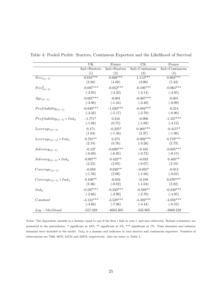|                                     | UK           | France       | UK             | France         |
|-------------------------------------|--------------|--------------|----------------|----------------|
|                                     | Ind=Starters | Ind=Starters | Ind=Continuous | Ind=Continuous |
|                                     | (1)          | (2)          | (3)            | (4)            |
| $Size_{i(t-1)}$                     | $0.916***$   | $0.698***$   | $1.113***$     | $0.863***$     |
|                                     | (2.80)       | (4.68)       | (3.00)         | (5.43)         |
| $Size^2_{i(t-1)}$                   | $-0.087***$  | $-0.052***$  | $-0.106***$    | $-0.064***$    |
|                                     | $(-2.95)$    | $(-4.33)$    | $(-3.14)$      | $(-4.95)$      |
| $Age_{i(t-1)}$                      | $-0.007***$  | $-0.001$     | $-0.007***$    | $-0.001$       |
|                                     | $(-3.98)$    | $(-1.24)$    | $(-3.40)$      | $(-0.99)$      |
| $Profitability_{i(t-1)}$            | $-0.840***$  | $-1.020***$  | $-0.894***$    | $-0.214$       |
|                                     | $(-3.32)$    | $(-5.17)$    | $(-2.79)$      | $(-0.96)$      |
| $Profitability_{i(t-1)} * Ind_{it}$ | $-1.771*$    | 0.316        | $-0.906$       | $-1.557***$    |
|                                     | $(-1.86)$    | (0.75)       | $(-1.60)$      | $(-4.13)$      |
|                                     | 0.171        | $-0.225*$    | $0.468***$     | $-0.415**$     |
| $Leverage_{i(t-1)}$                 | (1.04)       | $(-1.48)$    | (2.37)         | $(-1.96)$      |
|                                     |              |              |                |                |
| $Leverage_{i(t-1)} * Ind_{it}$      | $0.791**$    | 0.275        | $-0.992***$    | $0.779***$     |
|                                     | (2.18)       | (0.76)       | $(-3.26)$      | (2.73)         |
| $Solvency_{i(t-1)}$                 | $-0.137$     | $-0.690***$  | $-0.165$       | $-0.685***$    |
|                                     | $(-0.69)$    | $(-6.95)$    | $(-0.72)$      | $(-6.15)$      |
| $Solvency_{i(t-1)} * Ind_{it}$      | $0.997**$    | $0.432**$    | $-0.033$       | $0.405**$      |
|                                     | (2.52)       | (2.05)       | $(-0.07)$      | (2.18)         |
| $Coverage_{i(t-1)}$                 | $-0.059$     | $0.028**$    | $-0.035*$      | $-0.012$       |
|                                     | $(-1.56)$    | (2.06)       | $(-1.66)$      | $(-0.62)$      |
| $Coverage_{i(t-1)} * Ind_{it}$      | $0.100**$    | $-0.034$     | $-0.198$       | $0.076***$     |
|                                     | (2.36)       | $(-0.82)$    | $(-1.04)$      | (2.82)         |
| $Ind_{it}$                          | $-0.597***$  | $-0.333***$  | $-0.589**$     | $-0.349***$    |
|                                     | $(-2.66)$    | $(-3.99)$    | $(-2.70)$      | $(-4.95)$      |
| Constant                            | $-4.124***$  | $-3.528***$  | $-4.492***$    | $-4.058***$    |
|                                     | $(-4.66)$    | $(-7.86)$    | $(-4.44)$      | $(-8.52)$      |
|                                     |              |              |                |                |
| $Log-likelihood$                    | $-557.028$   | $-4083.305$  | $-433.965$     | $-3869.228$    |

Table 4: Pooled Probit: Starters, Continuous Exporters and the Likelihood of Survival

Notes: The dependent variable is a dummy equal to one if the firm  $i$  fails in year  $t$ , and zero otherwise. Robust z-statistics are presented in the parentheses. \* significant at 10%; \*\* significant at 5%; \*\*\* significant at 1%. Time dummies and industry dummies were included in the model.  $Ind_{it}$  is a dummy and indicates in turn starters and continuous exporters. Numbers of observations are 7586, 6670, 24732 and 23973, respectively. Also see notes to Table 1.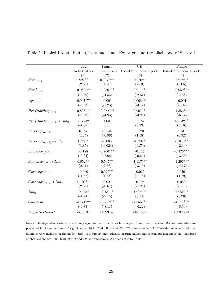|                                     | UK                 | France      | <b>UK</b>             | France                |
|-------------------------------------|--------------------|-------------|-----------------------|-----------------------|
|                                     | Ind=Exiters        | Ind=Exiters | Ind=Cont. non-Export. | Ind=Cont. non-Export. |
|                                     | (1)                | (2)         | (3)                   | (4)                   |
| $Size_{i(t-1)}$                     | $0.927***$         | $0.737***$  | $0.950**$             | $0.802***$            |
|                                     | (2.85)             | (4.90)      | (2.53)                | (5.05)                |
| $Size_{i(t-1)}^2$                   | $-0.088***$        | $-0.056***$ | $-0.911***$           | $-0.059***$           |
|                                     | $(-2.99)$          | $(-4.53)$   | $(-2.67)$             | $(-4.58)$             |
| $Age_{i(t-1)}$                      | $-0.007***$        | $-0.001$    | $-0.008***$           | $-0.001$              |
|                                     | $(-3.93)$          | $(-1.23)$   | $(-3.72)$             | $(-1.02)$             |
| $Profitability_{i(t-1)}$            | $-0.836***$        | $-0.972***$ | $-0.907***$           | $-1.356***$           |
|                                     | $(-3.29)$          | $(-4.93)$   | $(-3.25)$             | $(-6.77)$             |
| $Profitability_{i(t-1)} * Ind_{it}$ | $-1.773*$          | 0.146       | 0.274                 | $4.503***$            |
|                                     | $(-1.88)$          | (0.35)      | (0.39)                | (8.18)                |
| $Leverage_{i(t-1)}$                 | 0.187              | $-0.144$    | 0.220                 | 0.131                 |
|                                     | (1.15)             | $(-0.96)$   | (1.18)                | (0.92)                |
| $Leverage_{i(t-1)} * Ind_{it}$      | $0.780*$           | $-0.088$    | $-0.702*$             | $-1.816**$            |
|                                     | (1.85)             | $(-0.023)$  | $(-1.70)$             | $(-2.39)$             |
| $Solvency_{i(t-1)}$                 | $-0.128$           | $-0.706***$ | $-0.135$              | $-0.326***$           |
|                                     | $(-0.64)$          | $(-7.06)$   | $(-0.64)$             | $(-3.36)$             |
| $Solvency_{i(t-1)} * Ind_{it}$      | $0.952^{\ast\ast}$ | $0.535**$   | $-1.117***$           | $-1.296***$           |
|                                     | (2.11)             | (2.56)      | $(-3.15)$             | $(-4.67)$             |
| $Coverage_{i(t-1)}$                 | $-0.060$           | $0.025**$   | $-0.025$              | $0.026*$              |
|                                     | $(-1.57)$          | (1.83)      | $(-1.16)$             | (1.79)                |
| $Coverage_{i(t-1)} * Ind_{it}$      | $0.109**$          | $-0.021$    | $-0.105$              | $-0.059*$             |
|                                     | (2.53)             | $(-0.61)$   | $(-1.25)$             | $(-1.75)$             |
| $Ind_{it}$                          | $-0.445*$          | $-0.181**$  | $0.627***$            | $0.585***$            |
|                                     | $(-1.74)$          | $(-2.15)$   | (3.14)                | (6.20)                |
| Constant                            | $-4.171***$        | $-3.681***$ | $-4.256***$           | $-4.117***$           |
|                                     | $(-4.73)$          | $(-8.11)$   | $(-4.22)$             | $(-8.59)$             |
| $Log-likelihood$                    | $-556.737$         | $-4093.69$  | $-451.632$            | $-3792.923$           |

Table 5: Pooled Probit: Exiters, Continuous non-Exporters and the Likelihood of Survival

Notes: The dependent variable is a dummy equal to one if the firm  $i$  fails in year  $t$ , and zero otherwise. Robust z-statistics are presented in the parentheses. \* significant at 10%; \*\* significant at 5%; \*\*\* significant at 1%. Time dummies and industry dummies were included in the model.  $Ind_{it}$  is a dummy and indicates in turn exiters and continuous non-exporters. Numbers of observations are 7586, 6581, 24732 and 23802, respectively. Also see notes to Table 1.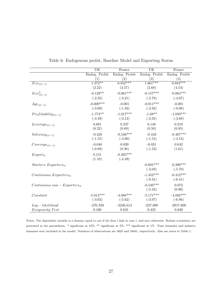|                                    | $\overline{\text{UK}}$ | France        | UK            | France        |
|------------------------------------|------------------------|---------------|---------------|---------------|
|                                    | Endog. Probit          | Endog. Probit | Endog. Probit | Endog. Probit |
|                                    | (1)                    | (2)           | (3)           | (4)           |
| $Size_{i(t-1)}$                    | $1.372**$              | $0.852***$    | $1.661***$    | $0.884***$    |
|                                    | (2.22)                 | (3.57)        | (2.68)        | (4.54)        |
| $Sizei(t-1)2$                      | $-0.129**$             | $-0.061***$   | $-0.157***$   | $-0.064***$   |
|                                    | $(-2.35)$              | $(-3.21)$     | $(-2.78)$     | $(-4.07)$     |
| $Age_{i(t-1)}$                     | $-0.009***$            | $-0.001$      | $-0.011***$   | $-0.001$      |
|                                    | $(-3.09)$              | $(-1.33)$     | $(-2.82)$     | $(-0.08)$     |
| $Profitability_{i(t-1)}$           | $-1.774**$             | $-1.017***$   | $-1.68**$     | $-1.050***$   |
|                                    | $(-3.49)$              | $(-3.12)$     | $(-3.35)$     | $(-3.69)$     |
| $Leverage_{i(t-1)}$                | 0.061                  | 0.237         | 0.149         | 0.219         |
|                                    | (0.22)                 | (0.89)        | (0.50)        | (0.95)        |
| $Solvency_{i(t-1)}$                | $-0.428$               | $-0.546***$   | $-0.443$      | $-0.487***$   |
|                                    | $(-1.55)$              | $(-4.00)$     | $(-1.54)$     | $(-4.54)$     |
| $Coverage_{i(t-1)}$                | $-0.046$               | 0.039         | $-0.031$      | 0.042         |
|                                    | $(-0.89)$              | (0.38)        | $(-1.53)$     | (1.61)        |
| $Export_{it}$                      | 0.151                  | $-0.205***$   |               |               |
|                                    | (1.10)                 | $(-4.49)$     |               |               |
| $Starters$ Exporters <sub>it</sub> |                        |               | $-0.691***$   | $-0.396***$   |
|                                    |                        |               | $(-3.03)$     | $(-5.70)$     |
| $Continuous$ $Exporters_{it}$      |                        |               | $-1.452***$   | $-0.412***$   |
|                                    |                        |               | $(-9.31)$     | $(-6.41)$     |
| $Continuous\ non-Exporters_{it}$   |                        |               | $-0.546***$   | 0.072         |
|                                    |                        |               | $(-3.42)$     | (0.96)        |
| Constant                           | $-5.014***$            | $-4.088***$   | $-5.171***$   | $-4.082***$   |
|                                    | $(-3.02)$              | $(-5.62)$     | $(-3.07)$     | $(-6.86)$     |
| $Log-likelihood$                   | $-276.339$             | $-2246.613$   | $-227.098$    | $-2917.608$   |
| <i>Exogeneity Test</i>             | 0.420                  | 0.631         | 0.435         | 0.630         |

Table 6: Endogenous probit, Baseline Model and Exporting Status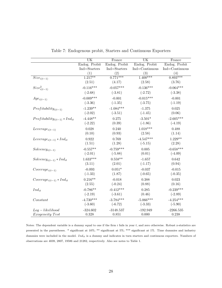|                                     | <b>UK</b>     | France        | <b>UK</b>      | France         |
|-------------------------------------|---------------|---------------|----------------|----------------|
|                                     | Endog. Probit | Endog. Probit | Endog. Probit  | Endog. Probit  |
|                                     | Ind=Starters  | Ind=Starters  | Ind=Continuous | Ind=Continuous |
|                                     | (1)           | (2)           | (3)            | (4)            |
| $\overline{Size}_{i(t-1)}$          | $1.217**$     | $0.771***$    | $1.400***$     | $0.893***$     |
|                                     | (2.51)        | (4.17)        | (2.58)         | (3.76)         |
| $Size^2_{i(t-1)}$                   | $-0.116***$   | $-0.057***$   | $-0.136***$    | $-0.064***$    |
|                                     | $(-2.68)$     | $(-3.81)$     | $(-2.72)$      | $(-3.38)$      |
| $Age_{i(t-1)}$                      | $-0.009***$   | $-0.001$      | $-0.015***$    | $-0.001$       |
|                                     | $(-3.36)$     | $(-1.35)$     | $(-3.75)$      | $(-1.19)$      |
| $Profitability_{i(t-1)}$            | $-1.239**$    | $-1.084***$   | $-1.375$       | 0.025          |
|                                     | $(-2.02)$     | $(-3.51)$     | $(-1.45)$      | (0.06)         |
| $Profitability_{i(t-1)} * Ind_{it}$ | $-4.448**$    | 0.275         | $-3.501*$      | $-2.605***$    |
|                                     | $(-2.22)$     | (0.39)        | $(-1.86)$      | $(-4.19)$      |
| $Leverage_{i(t-1)}$                 | 0.028         | 0.240         | $1.018***$     | 0.488          |
|                                     | (0.10)        | (0.93)        | (2.58)         | (1.14)         |
| $Leverage_{i(t-1)} * Ind_{it}$      | 0.922         | 0.769         | $-4.547***$    | $1.229**$      |
|                                     | (1.51)        | (1.28)        | $(-5.15)$      | (2.28)         |
| $Solvency_{i(t-1)}$                 | $-0.557**$    | $-0.759***$   | 0.005          | $-0.658***$    |
|                                     | $(-2.01)$     | $(-5.88)$     | (0.01)         | $(-4.09)$      |
| $Solvency_{i(t-1)} * Ind_{it}$      | $1.633***$    | $0.558**$     | $-1.657$       | 0.642          |
|                                     | (3.11)        | (2.01)        | $(-1.17)$      | (0.94)         |
| $Coverage_{i(t-1)}$                 | $-0.093$      | $0.051*$      | $-0.037$       | $-0.015$       |
|                                     | $(-1.33)$     | (1.87)        | $(-0.65)$      | $(-0.35)$      |
| $Coverage_{i(t-1)} * Ind_{it}$      | $0.216**$     | $-0.018$      | 0.388          | 0.023          |
|                                     | (2.55)        | $(-0.24)$     | (0.88)         | (0.16)         |
| $Ind_{it}$                          | $-0.786**$    | $-0.412***$   | 0.285          | $-0.239***$    |
|                                     | $(-2.19)$     | $(-3.61)$     | (0.46)         | $(-2.89)$      |
| Constant                            | $-4.730***$   | $-3.784***$   | $-5.066***$    | $-4.254***$    |
|                                     | $(-3.60)$     | $(-6.72)$     | $(-3.33)$      | $(-5.90)$      |
| $Log-likelihood$                    | $-324.602$    | $-3148.537$   | $-192.949$     | $-2266.535$    |
| Exogeneity Test                     | 0.328         | 0.851         | 0.000          | 0.238          |

Table 7: Endogenous probit, Starters and Continuous Exporters

Notes: The dependent variable is a dummy equal to one if the firm  $i$  fails in year  $t$ , and zero otherwise. Robust z-statistics are presented in the parentheses. \* significant at 10%; \*\* significant at 5%; \*\*\* significant at 1%. Time dummies and industry dummies were included in the model.  $Ind_{it}$  is a dummy and indicates in turn starters and continuous exporters. Numbers of observations are 4039, 2807, 19586 and 21282, respectively. Also see notes to Table 1.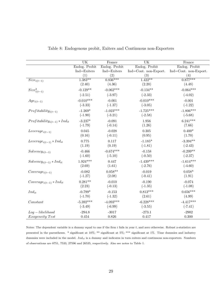|                                     | $\overline{\text{UK}}$ | France          | <b>UK</b>             | France                |
|-------------------------------------|------------------------|-----------------|-----------------------|-----------------------|
|                                     | Endog. Probit          | Endog. Probit   | Endog. Probit         | Endog. Probit         |
|                                     | Ind=Exiters            | $Ind = Exiters$ | Ind=Cont. non-Export. | Ind=Cont. non-Export. |
|                                     | (1)                    | (2)             | (3)                   | (4)                   |
| $\overline{Size}_{i(t-1)}$          | $1.383**$              | $0.836***$      | $1.422**$             | $0.877***$            |
|                                     | (2.40)                 | (4.36)          | (2.20)                | (4.48)                |
| $Size^2_{i(t-1)}$                   | $-0.129**$             | $-0.062***$     | $-0.134**$            | $-0.064***$           |
|                                     | $(-2.51)$              | $(-3.97)$       | $(-2.33)$             | $(-4.02)$             |
| $Age_{i(t-1)}$                      | $-0.010***$            | $-0.001$        | $-0.010***$           | $-0.001$              |
|                                     | $(-3.33)$              | $(-1.37)$       | $(-3.05)$             | $(-1.22)$             |
| $Profitability_{i(t-1)}$            | $-1.269*$              | $-1.023***$     | $-1.725***$           | $-1.806***$           |
|                                     | $(-1.90)$              | $(-3.21)$       | $(-2.58)$             | $(-5.68)$             |
| $Profitability_{i(t-1)} * Ind_{it}$ | $-3.237*$              | $-0.091$        | 1.956                 | $6.241***$            |
|                                     | $(-1.79)$              | $(-0.14)$       | (1.26)                | (7.66)                |
| $Leverage_{i(t-1)}$                 | 0.045                  | $-0.028$        | 0.305                 | $0.400*$              |
|                                     | (0.16)                 | $(-0.11)$       | (0.95)                | (1.70)                |
| $Leverage_{i(t-1)} * Ind_{it}$      | 0.775                  | 0.117           | $-1.185*$             | $-3.394**$            |
|                                     | (1.19)                 | (0.19)          | $(-1.81)$             | $(-2.43)$             |
| $Solvency_{i(t-1)}$                 | $-0.466$               | $-0.674***$     | $-0.158$              | $-0.299**$            |
|                                     | $(-1.60)$              | $(-5.10)$       | $(-0.50)$             | $(-2.37)$             |
| $Solvency_{i(t-1)} * Ind_{it}$      | $1.924***$             | 0.447           | $-1.439***$           | $-1.614***$           |
|                                     | (2.69)                 | (1.61)          | $(-2.76)$             | $(-4.60)$             |
| $Coverage_{i(t-1)}$                 | $-0.082$               | $0.058**$       | $-0.019$              | $0.058*$              |
|                                     | $(-1.27)$              | (2.08)          | $(-0.41)$             | (1.91)                |
| $Coverage_{i(t-1)} * Ind_{it}$      | $0.281**$              | $-0.010$        | $-0.190$              | $-0.074$              |
|                                     | (2.23)                 | $(-0.13)$       | $(-1.35)$             | $(-1.08)$             |
| $Ind_{it}$                          | $-0.799*$              | $-0.153$        | $0.813***$            | $0.656***$            |
|                                     | $(-1.70)$              | $(-1.32)$       | (2.61)                | (4.99)                |
| Constant                            | $-5.392***$            | $-4.093***$     | $-6.228***$           | $-4.417***$           |
|                                     | $(-3.49)$              | $(-6.99)$       | $(-3.55)$             | $(-7.41)$             |
| $Log-likelihood$                    | $-294.8$               | $-3017$         | $-273.1$              | $-2902$               |
| <i>Exogeneity Test</i>              | $0.454\,$              | 0.826           | 0.417                 | $0.300\,$             |

Notes: The dependent variable is a dummy equal to one if the firm  $i$  fails in year  $t$ , and zero otherwise. Robust z-statistics are presented in the parentheses. \* significant at 10%; \*\* significant at 5%; \*\*\* significant at 1%. Time dummies and industry dummies were included in the model.  $Ind_{it}$  is a dummy and indicates in turn exiters and continuous non-exporters. Numbers of observations are 8751, 7533, 27596 and 26535, respectively. Also see notes to Table 1.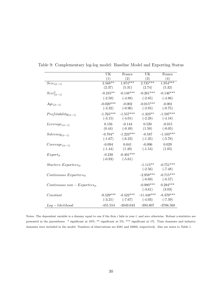|                                    | UK          | France              | UK                  | France      |
|------------------------------------|-------------|---------------------|---------------------|-------------|
|                                    | (1)         | (2)                 | (3)                 | (4)         |
| $Size_{i(t-1)}$                    | $2.568***$  | $1.974***$          | $2.735***$          | $1.954***$  |
|                                    | (2.37)      |                     | $(5.31)$ $(2.74)$   | (5.32)      |
| $Size_{i(t-1)}^2$                  | $-0.245**$  | $-0.148***$         | $-0.261***$         | $-0.146***$ |
|                                    |             | $(-2.50)$ $(-4.88)$ | $(-2.85)$           | $(-4.86)$   |
| $Age_{i(t-1)}$                     | $-0.020***$ | $-0.002$            | $-0.015***$         | $-0.001$    |
|                                    | $(-3.32)$   | $(-0.96)$           | $(-2.85)$           | $(-0.75)$   |
| $Profitability_{i(t-1)}$           | $-1.765***$ | $-1.557***$         | $-1.323**$          | $-1.597***$ |
|                                    | $(-3.15)$   | $(-4.01)$           | $(-2.28)$           | $(-4.18)$   |
| $Leverage_{i(t-1)}$                | 0.156       | $-0.144$            | 0.520               | $-0.015$    |
|                                    | (0.44)      | $(-0.49)$           | (1.50)              | $(-0.05)$   |
| $Solvency_{i(t-1)}$                | $-0.704*$   | $-1.223***$         | $-0.587$            | $-1.103***$ |
|                                    | $(-1.67)$   | $(-6.23)$           | $(-1.35)$           | $(-5.78)$   |
| $Coverage_{i(t-1)}$                | $-0.094$    | 0.041               | $-0.096$            | 0.029       |
|                                    | $(-1.44)$   | (1.49)              | $(-1.54)$           | (1.05)      |
| $Export_{it}$                      | $-0.238$    | $-0.401***$         |                     |             |
|                                    | $(-0.93)$   | $(-5.61)$           |                     |             |
| $Starters$ Exporters <sub>it</sub> |             |                     | $-1.115**$          | $-0.751***$ |
|                                    |             |                     | $(-2.56)$           | $(-7.48)$   |
| $Continuous$ $Exporters_{it}$      |             |                     | $-2.959***$         | $-0.715***$ |
|                                    |             |                     | $(-8.69)$ $(-8.57)$ |             |
| $Continuous\ non-Exporters_{it}$   |             |                     | $-0.980***$         | $0.294***$  |
|                                    |             |                     | $(-3.61)$           | (3.03)      |
| Constant                           | $-9.529***$ | $-8.522***$         | $-11.448***$        | $-8.379***$ |
|                                    |             | $(-3.21)$ $(-7.67)$ | $(-4.03)$           | $(-7.59)$   |
| $Log-likelihood$                   | $-455.554$  | $-3849.043$         | $-393.807$          | $-3786.568$ |

Table 9: Complementary log-log model: Baseline Model and Exporting Status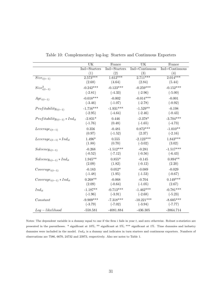|                                     | UK           | France       | $\overline{\text{UK}}$ | France         |
|-------------------------------------|--------------|--------------|------------------------|----------------|
|                                     | Ind=Starters | Ind=Starters | Ind=Continuous         | Ind=Continuous |
|                                     | (1)          | (2)          | (3)                    | (4)            |
| $Size_{i(t-1)}$                     | $2.573***$   | $1.612***$   | $2.711***$             | $2.014***$     |
|                                     | (2.68)       | (4.64)       | (2.84)                 | (5.44)         |
| $Size^2_{i(t-1)}$                   | $-0.242***$  | $-0.123***$  | $-0.259***$            | $-0.152***$    |
|                                     | $(-2.81)$    | $(-4.33)$    | $(-2.96)$              | $(-5.00)$      |
| $Age_{i(t-1)}$                      | $-0.018***$  | $-0.002$     | $-0.014***$            | $-0.001$       |
|                                     | $(-3.46)$    | $(-1.07)$    | $(-2.78)$              | $(-0.92)$      |
| $Profitability_{i(t-1)}$            | $-1.716***$  | $-1.931***$  | $-1.529**$             | $-0.198$       |
|                                     | $(-2.95)$    | $(-4.64)$    | $(-2.46)$              | $(-0.43)$      |
| $Profitability_{i(t-1)} * Ind_{it}$ | $-2.831*$    | 0.446        | $-2.378*$              | $-3.704***$    |
|                                     | $(-1.76)$    | (0.48)       | $(-1.65)$              | $(-4.73)$      |
| $Leverage_{i(t-1)}$                 | 0.356        | $-0.481$     | $0.872***$             | $-1.010**$     |
|                                     | (0.97)       | $(-1.52)$    | (2.37)                 | $(-2.16)$      |
| $Leverage_{i(t-1)} * Ind_{it}$      | $1.496*$     | 0.555        | $-2.123***$            | $1.843***$     |
|                                     | (1.88)       | (0.70)       | $(-3.02)$              | (3.02)         |
| $Solvency_{i(t-1)}$                 | $-0.268$     | $-1.512***$  | $-0.281$               | $-1.517***$    |
|                                     | $(-0.52)$    | $(-7.12)$    | $(-0.56)$              | $(-6.43)$      |
| $Solvency_{i(t-1)} * Ind_{it}$      | $1.945**$    | $0.855*$     | $-0.145$               | $0.894**$      |
|                                     | (2.09)       | (1.82)       | $(-0.12)$              | (2.20)         |
| $Coverage_{i(t-1)}$                 | $-0.183$     | $0.052*$     | $-0.089$               | $-0.029$       |
|                                     | $(-1.48)$    | (1.95)       | $(-1.53)$              | $(-0.67)$      |
|                                     | $0.268**$    | $-0.068$     | $-0.704$               | $0.149***$     |
| $Coverage_{i(t-1)} * Ind_{it}$      | (2.09)       | $(-0.64)$    | $(-1.05)$              | (2.67)         |
|                                     |              |              |                        |                |
| $Ind_{it}$                          | $-1.187**$   | $-0.713***$  | $-1.462***$            | $-0.781***$    |
|                                     | $(-1.96)$    | $(-3.91)$    | $(-2.68)$              | $(-5.23)$      |
| Constant                            | $-9.909***$  | $-7.318***$  | $-10.221***$           | $-8.605***$    |
|                                     | $(-3.79)$    | $(-7.02)$    | $(-3.94)$              | $(-7.77)$      |
| $Log-likelihood$                    | $-558.581$   | $-4081.884$  | $-436.305$             | $-3864.714$    |

Table 10: Complementary log-log: Starters and Continuous Exporters

Notes: The dependent variable is a dummy equal to one if the firm  $i$  fails in year  $t$ , and zero otherwise. Robust z-statistics are presented in the parentheses. \* significant at 10%; \*\* significant at 5%; \*\*\* significant at 1%. Time dummies and industry dummies were included in the model.  $Ind_{it}$  is a dummy and indicates in turn starters and continuous exporters. Numbers of observations are 7586, 6670, 24732 and 23973, respectively. Also see notes to Table 1.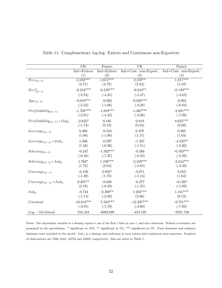|                                     | UK                       | France                | <b>UK</b>                | France                |
|-------------------------------------|--------------------------|-----------------------|--------------------------|-----------------------|
|                                     | Ind=Exiters              | Ind=Exiters           | Ind=Cont. non-Export.    | Ind=Cont. non-Export. |
|                                     | (1)                      | (2)                   | (3)                      | (4)                   |
| $Size_{i(t-1)}$                     | $2.593***$               | $1.674***$            | $2.570**$                | $1.871***$            |
|                                     | (2.71)                   | (4.78)                | (2.34)                   | (5.10)                |
| $Size_{i(t-1)}^2$                   | $-0.244***$              | $-0.128***$           | $-0.244**$               | $-0.139***$           |
|                                     | $(-2.84)$                | $(-4.45)$             | $(-2.47)$                | $(-4.63)$             |
| $Age_{i(t-1)}$                      | $-0.018***$<br>$(-3.42)$ | $-0.002$<br>$(-1.06)$ | $-0.020***$<br>$(-3.28)$ | $-0.001$<br>$(-0.84)$ |
|                                     |                          |                       |                          |                       |
| $Profitability_{i(t-1)}$            | $-1.708***$              | $-1.858***$           | $-1.867***$              | $-2.941***$           |
|                                     | $(-2.91)$                | $(-4.42)$             | $(-3.08)$                | $(-7.09)$             |
| $Profitability_{i(t-1)} * Ind_{it}$ | $-2.635*$                | 0.166                 | 0.819                    | $8.625***$            |
|                                     | $(-1.74)$                | (0.19)                | (0.54)                   | (9.20)                |
| $Leverage_{i(t-1)}$                 | 0.396                    | $-0.310$              | 0.479                    | 0.305                 |
|                                     | (1.08)                   | $(-1.00)$             | (1.15)                   | (1.03)                |
| $Leverage_{i(t-1)} * Ind_{it}$      | 1.306                    | $-0.297$              | $-1.337$                 | $-4.533**$            |
|                                     | (1.46)                   | $(-0.36)$             | $(-1.51)$                | $(-2.36)$             |
| $Solvency_{i(t-1)}$                 | $-0.247$                 | $-1.592***$           | $-0.266$                 | $-0.703***$           |
|                                     | $(-0.48)$                | $(-7.35)$             | $(-0.50)$                | $(-3.29)$             |
|                                     |                          | $1.199***$            | $-2.109***$              | $-2.244***$           |
| $Solvency_{i(t-1)} * Ind_{it}$      | $1.768*$                 |                       |                          |                       |
|                                     | (1.72)                   | (2.64)                | $(-2.84)$                | $(-4.33)$             |
| $Coverage_{i(t-1)}$                 | $-0.186$                 | $0.050*$              | $-0.071$                 | 0.053                 |
|                                     | $(-1.49)$                | (1.73)                | $(-1.14)$                | (1.64)                |
| $Coverage_{i(t-1)} * Ind_{it}$      | $0.285**$                | $-0.038$              | $-0.277$                 | $-0.126*$             |
|                                     | (2.19)                   | $(-0.49)$             | $(-1.25)$                | $(-1.89)$             |
| $Ind_{it}$                          | $-0.743$                 | $-0.399**$            | $1.202***$               | $1.161***$            |
|                                     | $(-1.14)$                | $(-2.20)$             | (2.86)                   | (6.72)                |
| Constant                            | $-10.013***$             | $-7.583***$           | $-12.337***$             | $-8.751***$           |
|                                     | $(-3.85)$                | $(-7.19)$             | $(-4.00)$                | $(-7.93)$             |
|                                     |                          |                       |                          |                       |
| $Log-likelihood$                    | $558.234\,$              | $-4093.098$           | $-453.535$               | $-3781.746$           |

Table 11: Complementary log-log: Exiters and Continuous non-Exporters

Notes: The dependent variable is a dummy equal to one if the firm  $i$  fails in year  $t$ , and zero otherwise. Robust z-statistics are presented in the parentheses. \* significant at 10%; \*\* significant at 5%; \*\*\* significant at 1%. Time dummies and industry dummies were included in the model.  $Ind_{it}$  is a dummy and indicates in turn exiters and continuous non-exporters. Numbers of observations are 7586, 6581, 24732 and 23802, respectively. Also see notes to Table 1.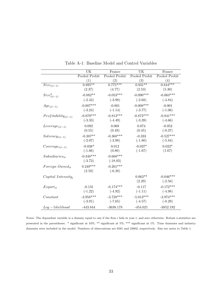|                          | UK            | France        | UK            | France        |
|--------------------------|---------------|---------------|---------------|---------------|
|                          | Pooled Probit | Pooled Probit | Pooled Probit | Pooled Probit |
|                          | (1)           | (2)           | (3)           | (4)           |
| $Size_{i(t-1)}$          | $0.895**$     | $0.775***$    | $0.931**$     | $0.844***$    |
|                          | (2.37)        | (4.77)        | (2.53)        | (5.30)        |
| $Size^2_{i(t-1)}$        | $-0.082**$    | $-0.053***$   | $-0.090***$   | $-0.063***$   |
|                          | $(-2.42)$     | $(-3.98)$     | $(-2.68)$     | $(-4.84)$     |
| $Age_{i(t-1)}$           | $-0.007***$   | $-0.001$      | $-0.008***$   | $-0.001$      |
|                          | $(-3.24)$     | $(-1.14)$     | $(-3.77)$     | $(-1.06)$     |
| $Profitability_{i(t-1)}$ | $-0.879***$   | $-0.813***$   | $-0.872***$   | $-0.841***$   |
|                          | $(-3.33)$     | $(-4.49)$     | $(-3.39)$     | $(-4.66)$     |
| $Leverage_{i(t-1)}$      | 0.092         | 0.068         | 0.074         | $-0.052$      |
|                          | (0.55)        | (0.49)        | (0.45)        | $(-0.37)$     |
| $Solvency_{i(t-1)}$      | $-0.387**$    | $-0.368***$   | $-0.333$      | $-0.527***$   |
|                          | $(-2.07)$     | $(-3.98)$     | $(-1.80)$     | $(-5.84)$     |
| $Coverage_{i(t-1)}$      | $-0.038*$     | 0.012         | $-0.037*$     | $0.022*$      |
|                          | $(-1.66)$     | (0.86)        | $(-1.67)$     | (1.67)        |
| $Subsidiaries_{it}$      | $-0.348***$   | $-0.668***$   |               |               |
|                          | $(-3.73)$     | $(-18.03)$    |               |               |
| Foreign Ownedit          | $0.249***$    | $-0.261***$   |               |               |
|                          | (2.59)        | $(-6.28)$     |               |               |
| $Capital\ Intensity_i$   |               |               | $0.063**$     | $-0.046***$   |
|                          |               |               | (2.29)        | $(-2.56)$     |
| $Export_{it}$            | $-0.131$      | $-0.174***$   | $-0.117$      | $-0.172***$   |
|                          | $(-1.22)$     | $(-4.92)$     | $(-1.11)$     | $(-4.98)$     |
| Constant                 | $-3.958***$   | $-3.728***$   | $-5.013***$   | $-3.974***$   |
|                          | $(-3.91)$     | $(-7.65)$     | $(-4.57)$     | $(-8.29)$     |
| $Log-likelihood$         | $-443.844$    | $-3638.178$   | $-454.021$    | $-3852.192$   |

Table A-1: Baseline Model and Control Variables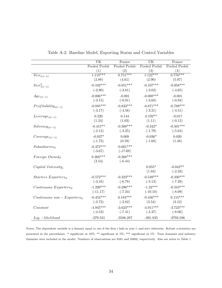|                                  | $\overline{\text{UK}}$ | France        | $\overline{\text{UK}}$ | France        |
|----------------------------------|------------------------|---------------|------------------------|---------------|
|                                  | Pooled Probit          | Pooled Probit | Pooled Probit          | Pooled Probit |
|                                  | (1)                    | (2)           | (3)                    | (4)           |
| $\overline{Size}_{i(t-1)}$       | $1.118***$             | $0.751***$    | $1.122***$             | $0.776***$    |
|                                  | (2.88)                 | (4.61)        | (2.90)                 | (5.07)        |
| $Size_{i(t-1)}^2$                | $-0.102***$            | $-0.051***$   | $-0.107***$            | $-0.058***$   |
|                                  | $(-2.90)$              | $(-3.81)$     | $(-3.02)$              | $(-4.65)$     |
| $Age_{i(t-1)}$                   | $-0.006***$            | $-0.001$      | $-0.008***$            | $-0.001$      |
|                                  | $(-3.15)$              | $(-0.91)$     | $(-3.68)$              | $(-0.94)$     |
| $Profitability_{i(t-1)}$         | $-0.885***$            | $-0.833***$   | $-0.871***$            | $-0.789***$   |
|                                  | $(-3.17)$              | $(-4.56)$     | $(-3.21)$              | $(-4.51)$     |
|                                  | 0.220                  | 0.144         | $0.192**$              | $-0.017$      |
| $Leverage_{i(t-1)}$              | (1.24)                 | (1.03)        | (1.11)                 | $(-0.12)$     |
|                                  |                        |               |                        |               |
| $Solvency_{i(t-1)}$              | $-0.415**$             | $-0.308***$   | $-0.342*$              | $-0.501***$   |
|                                  | $(-2.12)$              | $(-3.35)$     | $(-1.79)$              | $(-5.64)$     |
| $Coverage_{i(t-1)}$              | $-0.037*$              | 0.009         | $-0.036*$              | 0.020         |
|                                  | $(-1.73)$              | (0.59)        | $(-1.68)$              | (1.48)        |
| $Subsidiaries_{it}$              | $-0.372***$            | $-0.661***$   |                        |               |
|                                  | $(-3.67)$              | $(-17.69)$    |                        |               |
| $For eigen$ Owned $_{it}$        | $0.368***$             | $-0.268***$   |                        |               |
|                                  | (3.54)                 | $(-6.44)$     |                        |               |
| $Capital\ Intensity_i$           |                        |               | $0.055*$               | $-0.042**$    |
|                                  |                        |               | (1.83)                 | $(-2.33)$     |
|                                  |                        |               | $-0.549***$            | $-0.330***$   |
| $Starters$ $Exporters_{it}$      | $-0.572***$            | $-0.323***$   |                        |               |
|                                  | $(-3.16)$              | $(-6.78)$     | $(-3.13)$              | $(-7.29)$     |
| $Continuous$ $Exporters_{it}$    | $-1.299***$            | $-0.296***$   | $-1.23***$             | $-0.310***$   |
|                                  | $(-11.17)$             | $(-7.34)$     | $(-10.10)$             | $(-8.09)$     |
| $Continuous\ non-Exporters_{it}$ | $-0.454***$            | $0.183***$    | $-0.456***$            | $0.155***$    |
|                                  | $(-3.73)$              | $(-3.82)$     | (3.54)                 | (3.12)        |
| Constant                         | $-4.945***$            | $-3.623***$   | $-4.911***$            | $-3.723***$   |
|                                  | $(-4.53)$              | $(-7.41)$     | $(-4.37)$              | $(-8.06)$     |
| $Log-likelihood$                 |                        |               |                        |               |

Table A-2: Baseline Model, Exporting Status and Control Variables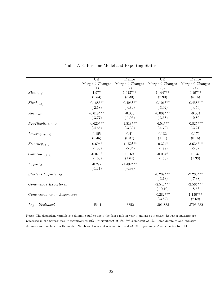|                                  | $\overline{\text{UK}}$ | France           | UK               | France           |
|----------------------------------|------------------------|------------------|------------------|------------------|
|                                  | Marginal Changes       | Marginal Changes | Marginal Changes | Marginal Changes |
|                                  | (1)                    | (2)              | (3)              | (4)              |
| $Size_{i(t-1)}$                  | $\overline{1.9^{**}}$  | $6.643***$       | $1.064***$       | $6.19***$        |
|                                  | (2.53)                 | (5.30)           | (2.90)           | (5.16)           |
| $Size_{i(t-1)}^2$                | $-0.188***$            | $-0.496***$      | $-0.101***$      | $-0.458***$      |
|                                  | $(-2.68)$              | $(-4.84)$        | $(-3.02)$        | $(-4.66)$        |
| $Age_{i(t-1)}$                   | $-0.018***$            | $-0.006$         | $-0.007***$      | $-0.004$         |
|                                  | $(-3.77)$              | $(-1.06)$        | $(-3.68)$        | $(-0.80)$        |
| $Profitability_{i(t-1)}$         | $-6.620***$            | $-1.818***$      | $-6.54***$       | $-0.825***$      |
|                                  | $(-4.66)$              | $(-3.39)$        | $(-4.72)$        | $(-3.21)$        |
| $Leverage_{i(t-1)}$              | 0.155                  | 0.41             | 0.182            | 0.171            |
|                                  | (0.45)                 | (0.37)           | (1.11)           | (0.16)           |
| $Solvency_{i(t-1)}$              | $-0.695*$              | $-4.152***$      | $-0.324*$        | $-3.635***$      |
|                                  | $(-1.80)$              | $(-5.84)$        | $(-1.79)$        | $(-5.32)$        |
| $Coverage_{i(t-1)}$              | $-0.073*$              | 0.169            | $-0.034*$        | 0.137            |
|                                  | $(-1.66)$              | (1.64)           | $(-1.68)$        | (1.33)           |
| $Export_{it}$                    | $-0.272$               | $-1.492***$      |                  |                  |
|                                  | $(-1.11)$              | $(-4.98)$        |                  |                  |
| $Starters$ $Exporters_{it}$      |                        |                  | $-0.287***$      | $-2.238***$      |
|                                  |                        |                  | $(-3.13)$        | $(-7.38)$        |
| $Continuous$ $Exporters_{it}$    |                        |                  | $-2.542***$      | $-2.565***$      |
|                                  |                        |                  | $(-10.10)$       | $(-8.53)$        |
| $Continuous\ non-Exporters_{it}$ |                        |                  | $-0.282***$      | $1.150***$       |
|                                  |                        |                  | $(-3.82)$        | (2.69)           |
| $Log-likelihood$                 | $-454.1$               | $-3852$          | $-391.835$       | $-3793.582$      |

Table A-3: Baseline Model and Exporting Status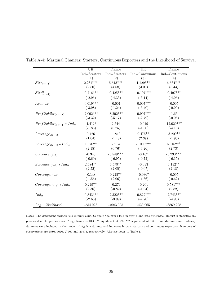|                                     | UK               | UK<br>France |                | France         |
|-------------------------------------|------------------|--------------|----------------|----------------|
|                                     | $Ind = Starters$ | Ind=Starters | Ind=Continuous | Ind=Continuous |
|                                     | (1)              | (2)          | (3)            | (4)            |
| $Size_{i(t-1)}$                     | $2.281***$       | $5.613***$   | $1.129***$     | $6.664***$     |
|                                     | (2.80)           | (4.68)       | (3.00)         | (5.43)         |
| $Size^2_{i(t-1)}$                   | $-0.216***$      | $-0.425***$  | $-0.107***$    | $-0.497***$    |
|                                     | $(-2.95)$        | $(-4.33)$    | $(-3.14)$      | $(-4.95)$      |
| $Age_{i(t-1)}$                      | $-0.019***$      | $-0.007$     | $-0.007***$    | $-0.005$       |
|                                     | $(-3.98)$        | $(-1.24)$    | $(-3.40)$      | $(-0.99)$      |
| $Profitability_{i(t-1)}$            | $-2.092***$      | $-8.202***$  | $-0.907***$    | $-1.65$        |
|                                     | $(-3.32)$        | $(-5.17)$    | $(-2.79)$      | $(-0.96)$      |
| $Profitability_{i(t-1)} * Ind_{it}$ | $-4.412*$        | 2.544        | $-0.919$       | $-12.029***$   |
|                                     | $(-1.86)$        | (0.75)       | $(-1.60)$      | $(-4.13)$      |
| $Leverage_{i(t-1)}$                 | 0.426            | $-1.813$     | $0.475**$      | $-3.209**$     |
|                                     | (1.04)           | $(-1.48)$    | (2.37)         | $(-1.96)$      |
| $Leverage_{i(t-1)} * Ind_{it}$      | $1.970**$        | 2.214        | $-1.006***$    | $6.016***$     |
|                                     | (2.18)           | (0.76)       | $(-3.26)$      | (2.73)         |
| $Solvency_{i(t-1)}$                 | $-0.343$         | $-5.549***$  | $-0.167$       | $-5.290***$    |
|                                     | $(-0.69)$        | $(-6.95)$    | $(-0.72)$      | $(-6.15)$      |
| $Solvency_{i(t-1)} * Ind_{it}$      | $2.484**$        | $3.479**$    | $-0.033$       | $3.132**$      |
|                                     | (2.52)           | (2.05)       | $(-0.07)$      | (2.18)         |
| $Coverage_{i(t-1)}$                 | $-0.148$         | $0.225**$    | $-0.036*$      | $-0.095$       |
|                                     | $(-1.56)$        | (2.06)       | $(-1.66)$      | $(-0.62)$      |
| $Coverage_{i(t-1)} * Ind_{it}$      | $0.249**$        | $-0.274$     | $-0.201$       | $0.581***$     |
|                                     | (2.36)           | $(-0.82)$    | $(-1.04)$      | (2.82)         |
| $Ind_{it}$                          | $-0.843***$      | $-2.322***$  | $-0.822***$    | $-2.743***$    |
|                                     | $(-2.66)$        | $(-3.99)$    | $(-2.70)$      | $(-4.95)$      |
| $Log-likelihood$                    | $-554.028$       | $-4083.305$  | $-433.965$     | $-3869.228$    |

Table A-4: Marginal Changes: Starters, Continuous Exporters and the Likelihood of Survival

Notes: The dependent variable is a dummy equal to one if the firm  $i$  fails in year  $t$ , and zero otherwise. Robust z-statistics are presented in the parentheses. \* significant at 10%; \*\* significant at 5%; \*\*\* significant at 1%. Time dummies and industry dummies were included in the model.  $Ind_{it}$  is a dummy and indicates in turn starters and continuous exporters. Numbers of observations are 7586, 6670, 27600 and 23973, respectively. Also see notes to Table 1.